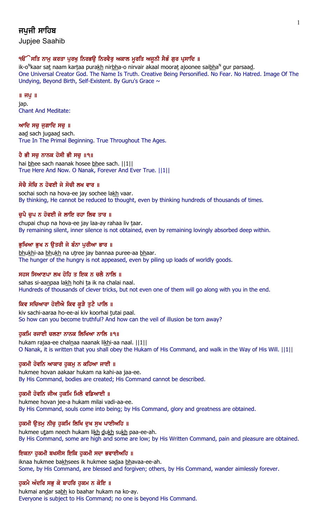# ਜਪਜੀ ਸਾਹਿਬ

Jupjee Saahib

## ੧ੳੱੇਸਤਿ ਨਾਮ ਕਰਤਾ ਪਰਖ ਨਿਰਭੳ ਨਿਰਵੈਰ ਅਕਾਲ ਮਰਤਿ ਅਜਨੀ ਸੈਭੰ ਗਰ ਪੁਸਾਦਿ ॥

ik-o<sup>N</sup>kaar sa<u>t</u> naam kar<u>t</u>aa pura<u>kh</u> nir<u>bh</u>a-o nirvair akaal moora<u>t</u> ajoonee sai<u>bh</u>a<sup>n</sup> gur parsaa<u>d</u>. One Universal Creator God. The Name Is Truth. Creative Being Personified. No Fear. No Hatred. Image Of The Undying, Beyond Birth, Self-Existent. By Guru's Grace  $\sim$ 

 $\parallel$  ਜਪੁ $\parallel$ 

jap. Chant And Meditate:

## ਆਦਿ ਸਚ ਜਗਾਦਿ ਸਚ $\parallel$

aad sach jugaad sach. True In The Primal Beginning. True Throughout The Ages.

# ਹੈ ਭੀ ਸਚੂ ਨਾਨਕ ਹੋਸੀ ਭੀ ਸਚੂ ॥੧॥

hai bhee sach naanak hosee bhee sach. ||1|| True Here And Now. O Nanak, Forever And Ever True. ||1||

# ਸੋਚੈ ਸੋਚਿ ਨ ਹੋਵਈ ਜੇ ਸੋਚੀ ਲਖ ਵਾਰ ॥

sochai soch na hova-ee jay sochee lakh vaar. By thinking, He cannot be reduced to thought, even by thinking hundreds of thousands of times.

# ਚਪੈ ਚਪ ਨ ਹੋਵਈ ਜੇ ਲਾਇ ਰਹਾ ਲਿਵ ਤਾਰ ॥

chupai chup na hova-ee jay laa-ay rahaa liv taar. By remaining silent, inner silence is not obtained, even by remaining lovingly absorbed deep within.

# ਭਖਿਆ ਭਖ ਨ ੳਤਰੀ ਜੇ ਬੰਨਾ ਪਰੀਆ ਭਾਰ ॥

bhukhi-aa bhukh na utree jay bannaa puree-aa bhaar. The hunger of the hungry is not appeased, even by piling up loads of worldly goods.

# ਸਹਸ ਸਿਆਣਪਾ ਲਖ ਹੋਹਿ ਤ ਇਕ ਨ ਚਲੈ ਨਾਲਿ ॥

sahas si-aanpaa lakh hohi ta ik na chalai naal. Hundreds of thousands of clever tricks, but not even one of them will go along with you in the end.

## ਕਿਵ ਸਚਿਆਰਾ ਹੋਈਐ ਕਿਵ ਕੁੜੈ ਤੁਟੈ ਪਾਲਿ ॥

kiv sachi-aaraa ho-ee-ai kiv koorhai tutai paal. So how can you become truthful? And how can the veil of illusion be torn away?

# ਹਕਮਿ ਰਜਾਈ ਚਲਣਾ ਨਾਨਕ ਲਿਖਿਆ ਨਾਲਿ ॥੧॥

hukam rajaa-ee chalnaa naanak likhi-aa naal. ||1|| O Nanak, it is written that you shall obey the Hukam of His Command, and walk in the Way of His Will. ||1||

## ਹਕਮੀ ਹੋਵਨਿ ਆਕਾਰ ਹਕਮ ਨ ਕਹਿਆ ਜਾਈ ॥

hukmee hovan aakaar hukam na kahi-aa jaa-ee. By His Command, bodies are created; His Command cannot be described.

# ਹੁਕਮੀ ਹੋਵਨਿ ਜੀਅ ਹੁਕਮਿ ਮਿਲੈ ਵਡਿਆਈ ॥

hukmee hovan jee-a hukam milai vadi-aa-ee. By His Command, souls come into being; by His Command, glory and greatness are obtained.

# ਹੁਕਮੀ ਉਤਮੂ ਨੀਚੂ ਹੁਕਮਿ ਲਿਖਿ ਦੁਖ ਸੁਖ ਪਾਈਅਹਿ ॥

hukmee utam neech hukam likh dukh sukh paa-ee-ah. By His Command, some are high and some are low; by His Written Command, pain and pleasure are obtained.

# ਇਕਨਾ ਹਕਮੀ ਬਖਸੀਸ ਇਕਿ ਹਕਮੀ ਸਦਾ ਭਵਾਈਅਹਿ ॥

iknaa hukmee bakhsees ik hukmee sadaa bhavaa-ee-ah. Some, by His Command, are blessed and forgiven; others, by His Command, wander aimlessly forever.

## ਹੁਕਮੈ ਅੰਦਰਿ ਸਭੁ ਕੋ ਬਾਹਰਿ ਹੁਕਮ ਨ ਕੋਇ ॥

hukmai andar sabh ko baahar hukam na ko-ay. Everyone is subject to His Command; no one is beyond His Command.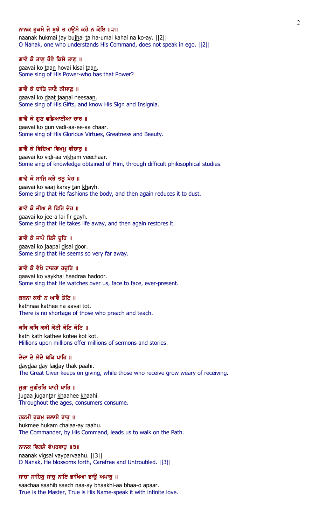#### ਨਾਨਕ ਹਕਮੈ ਜੇ ਬਝੈ ਤ ਹੳਮੈ ਕਹੈ ਨ ਕੋਇ ॥੨॥

naanak hukmai jay bujhai ta ha-umai kahai na ko-ay. [[2]] O Nanak, one who understands His Command, does not speak in ego. ||2||

#### ਗਾਵੈ ਕੋ ਤਾਣੂ ਹੋਵੈ ਕਿਸੈ ਤਾਣੂ ॥

gaavai ko taan hovai kisai taan. Some sing of His Power-who has that Power?

#### ਗਾਵੈ ਕੋ ਦਾਤਿ ਜਾਣੈ ਨੀਸਾਣੂ ॥

gaavai ko daat jaanai neesaan. Some sing of His Gifts, and know His Sign and Insignia.

#### ਗਾਵੈ ਕੋ ਗਣ ਵਡਿਆਈਆ ਚਾਰ ॥

gaavai ko gun vadi-aa-ee-aa chaar. Some sing of His Glorious Virtues, Greatness and Beauty.

#### ਗਾਵੈ ਕੋ ਵਿਦਿਆ ਵਿਖਮ ਵੀਚਾਰ ॥

gaavai ko vidi-aa vikham veechaar. Some sing of knowledge obtained of Him, through difficult philosophical studies.

#### ਗਾਵੈ ਕੋ ਸਾਜਿ ਕਰੇ ਤਨ ਖੇਹ ॥

gaavai ko saaj karay tan khayh. Some sing that He fashions the body, and then again reduces it to dust.

#### ਗਾਵੈ ਕੋ ਜੀਅ ਲੈ ਫਿਰਿ ਦੇਹ ॥

gaavai ko jee-a lai fir dayh. Some sing that He takes life away, and then again restores it.

#### ਗਾਵੈ ਕੋ ਜਾਪੈ ਦਿਸੈ ਦੁਰਿ ॥

gaavai ko jaapai disai door. Some sing that He seems so very far away.

### ਗਾਵੈ ਕੋ ਵੇਖੈ ਹਾਦਰਾ ਹਦੁਰਿ ॥

gaavai ko vaykhai haadraa hadoor. Some sing that He watches over us, face to face, ever-present.

## ਕਥਨਾ ਕਥੀ ਨ ਆਵੈ ਤੋਟਿ ॥

kathnaa kathee na aavai tot. There is no shortage of those who preach and teach.

### ਕਥਿ ਕਥਿ ਕਥੀ ਕੋਟੀ ਕੋਟਿ ਕੋਟਿ ॥

kath kath kathee kotee kot kot. Millions upon millions offer millions of sermons and stories.

## ਦੇਦਾ ਦੇ ਲੈਦੇ ਥਕਿ ਪਾਹਿ ॥

daydaa day laiday thak paahi. The Great Giver keeps on giving, while those who receive grow weary of receiving.

#### ਜੁਗਾ ਜੁਗੰਤਰਿ ਖਾਹੀ ਖਾਹਿ ॥

jugaa jugantar khaahee khaahi. Throughout the ages, consumers consume.

### ਹੁਕਮੀ ਹੁਕਮੁ ਚਲਾਏ ਰਾਹੁ ॥

hukmee hukam chalaa-ay raahu. The Commander, by His Command, leads us to walk on the Path.

#### ਨਾਨਕ ਵਿਗਸੈ ਵੇਪਰਵਾਹੁ ॥੩॥

naanak vigsai vayparvaahu. ||3|| O Nanak, He blossoms forth, Carefree and Untroubled. ||3||

#### ਸਾਚਾ ਸਾਹਿਬੂ ਸਾਚੂ ਨਾਇ ਭਾਖਿਆ ਭਾਉ ਅਪਾਰੂ ॥

saachaa saahib saach naa-ay bhaakhi-aa bhaa-o apaar. True is the Master, True is His Name-speak it with infinite love.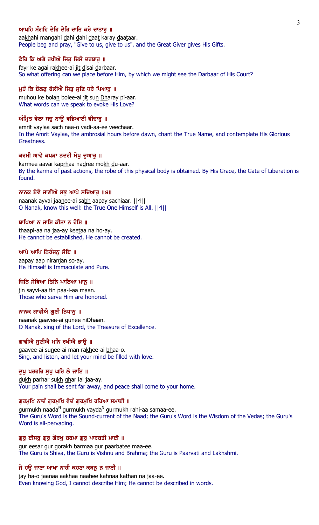## ਆਖਹਿ ਮੰਗਹਿ ਦੇਹਿ ਦੇਹਿ ਦਾਤਿ ਕਰੇ ਦਾਤਾਰ ॥

aakhahi mangahi dahi dahi daat karay daataar. People beg and pray, "Give to us, give to us", and the Great Giver gives His Gifts.

#### ਫੇਰਿ ਕਿ ਅਗੈ ਰਖੀਐ ਜਿਤੂ ਦਿਸੈ ਦਰਬਾਰੂ ॥

fayr ke agai rakhee-ai jit disai darbaar. So what offering can we place before Him, by which we might see the Darbaar of His Court?

### ਮੁਹੌ ਕਿ ਬੋਲਣੂ ਬੋਲੀਐ ਜਿਤੂ ਸੁਣਿ ਧਰੇ ਪਿਆਰੂ ॥

muhou ke bolan bolee-ai jit sun Dharay pi-aar. What words can we speak to evoke His Love?

#### ਅੰਮ੍ਰਿਤ ਵੇਲਾ ਸਚੁ ਨਾਉ ਵਡਿਆਈ ਵੀਚਾਰੁ ॥

amrit vaylaa sach naa-o vadi-aa-ee veechaar. In the Amrit Vaylaa, the ambrosial hours before dawn, chant the True Name, and contemplate His Glorious Greatness.

#### ਕਰਮੀ ਆਵੈ ਕਪੜਾ ਨਦਰੀ ਮੋਖ ਦਆਰ ॥

karmee aavai kaprhaa nadree mokh du-aar. By the karma of past actions, the robe of this physical body is obtained. By His Grace, the Gate of Liberation is found.

#### ਨਾਨਕ ਏਵੈ ਜਾਣੀਐ ਸਭ ਆਪੇ ਸਚਿਆਰ ॥੪॥

naanak ayvai jaanee-ai sabh aapay sachiaar. ||4|| O Nanak, know this well: the True One Himself is All. ||4||

#### ਥਾਪਿਆ ਨ ਜਾਇ ਕੀਤਾ ਨ ਹੋਇ ॥

thaapi-aa na jaa-ay keetaa na ho-ay. He cannot be established, He cannot be created.

#### ਆਪੇ ਆਪਿ ਨਿਰੰਜਨ ਸੋਇ ॥

aapay aap niranjan so-ay. He Himself is Immaculate and Pure.

#### ਜਿਨਿ ਸੇਵਿਆ ਤਿਨਿ ਪਾਇਆ ਮਾਨ ॥

jin sayvi-aa tin paa-i-aa maan. Those who serve Him are honored.

#### ਨਾਨਕ ਗਾਵੀਐ ਗੁਣੀ ਨਿਧਾਨੂ ॥

naanak gaavee-ai gunee niDhaan. O Nanak, sing of the Lord, the Treasure of Excellence.

### ਗਾਵੀਐ ਸਣੀਐ ਮਨਿ ਰਖੀਐ ਭਾੳ ॥

gaavee-ai sunee-ai man rakhee-ai bhaa-o. Sing, and listen, and let your mind be filled with love.

#### ਦਖ ਪਰਹਰਿ ਸਖ ਘਰਿ ਲੈ ਜਾਇ ॥

dukh parhar sukh ghar lai jaa-ay. Your pain shall be sent far away, and peace shall come to your home.

#### ਗੁਰਮੁਖਿ ਨਾਦੰ ਗੁਰਮੁਖਿ ਵੇਦੰ ਗੁਰਮੁਖਿ ਰਹਿਆ ਸਮਾਈ ॥

gurmu<u>kh</u> naa<u>d</u>a<sup>n</sup> gurmu<u>kh</u> vay<u>d</u>a<sup>n</sup> gurmu<u>kh</u> rahi-aa samaa-ee. The Guru's Word is the Sound-current of the Naad; the Guru's Word is the Wisdom of the Vedas; the Guru's Word is all-pervading.

#### ਗੁਰੁ ਈਸਰੁ ਗੁਰੁ ਗੋਰਖੁ ਬਰਮਾ ਗੁਰੁ ਪਾਰਬਤੀ ਮਾਈ ॥

gur eesar gur gorakh barmaa gur paarbatee maa-ee. The Guru is Shiva, the Guru is Vishnu and Brahma; the Guru is Paarvati and Lakhshmi.

#### ਜੇ ਹਉ ਜਾਣਾ ਆਖਾ ਨਾਹੀ ਕਹਣਾ ਕਥਨੂ ਨ ਜਾਈ ॥

jay ha-o jaanaa aakhaa naahee kahnaa kathan na jaa-ee. Even knowing God, I cannot describe Him; He cannot be described in words.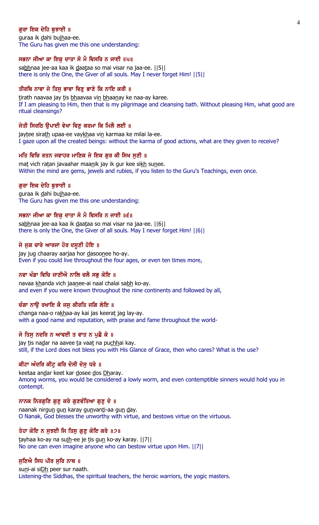## ਗਰਾ ਇਕ ਦੇਹਿ ਬਝਾਈ ॥

guraa ik dahi bujhaa-ee. The Guru has given me this one understanding:

#### ਸਭਨਾ ਜੀਆ ਕਾ ਇਕ ਦਾਤਾ ਸੋ ਮੈ ਵਿਸਰਿ ਨ ਜਾਈ ॥੫॥

sabhnaa jee-aa kaa ik daataa so mai visar na jaa-ee. [[5]] there is only the One, the Giver of all souls. May I never forget Him! ||5||

### ਤੀਰਥਿ ਨਾਵਾ ਜੇ ਤਿਸੁ ਭਾਵਾ ਵਿਣੁ ਭਾਣੇ ਕਿ ਨਾਇ ਕਰੀ ॥

tirath naavaa jay tis bhaavaa vin bhaanay ke naa-ay karee. If I am pleasing to Him, then that is my pilgrimage and cleansing bath. Without pleasing Him, what good are ritual cleansings?

### ਜੇਤੀ ਸਿਰਠਿ ਉਪਾਈ ਵੇਖਾ ਵਿਣੁ ਕਰਮਾ ਕਿ ਮਿਲੈ ਲਈ ॥

jaytee sirath upaa-ee vaykhaa vin karmaa ke milai la-ee. I gaze upon all the created beings: without the karma of good actions, what are they given to receive?

#### ਮਤਿ ਵਿਚਿ ਰਤਨ ਜਵਾਹਰ ਮਾਣਿਕ ਜੇ ਇਕ ਗਰ ਕੀ ਸਿਖ ਸਣੀ ॥

mat vich ratan javaahar maanik jay ik gur kee sikh sunee. Within the mind are gems, jewels and rubies, if you listen to the Guru's Teachings, even once.

#### ਗਰਾ ਇਕ ਦੇਹਿ ਬਝਾਈ ॥

guraa ik dahi bujhaa-ee. The Guru has given me this one understanding:

#### ਸਭਨਾ ਜੀਆ ਕਾ ਇਕ ਦਾਤਾ ਸੋ ਮੈ ਵਿਸਰਿ ਨ ਜਾਈ ॥੬॥

sabhnaa jee-aa kaa ik daataa so mai visar na jaa-ee. [6] there is only the One, the Giver of all souls. May I never forget Him! ||6||

#### ਜੇ ਜੁਗ ਚਾਰੇ ਆਰਜਾ ਹੋਰ ਦਸੂਣੀ ਹੋਇ ॥

jay jug chaaray aarjaa hor dasoonee ho-ay. Even if you could live throughout the four ages, or even ten times more,

### ਨਵਾ ਖੰਡਾ ਵਿਚਿ ਜਾਣੀਐ ਨਾਲਿ ਚਲੈ ਸਭੁ ਕੋਇ ॥

navaa khanda vich jaanee-ai naal chalai sabh ko-ay. and even if you were known throughout the nine continents and followed by all,

#### ਚੰਗਾ ਨਾੳ ਰਖਾਇ ਕੈ ਜਸ ਕੀਰਤਿ ਜਗਿ ਲੇਇ ॥

changa naa-o rakhaa-ay kai jas keerat jag lay-ay. with a good name and reputation, with praise and fame throughout the world-

#### ਜੇ ਤਿਸੁ ਨਦਰਿ ਨ ਆਵਈ ਤ ਵਾਤ ਨ ਪੁਛੈ ਕੇ ॥

jay tis nadar na aavee ta vaat na puchhai kay. still, if the Lord does not bless you with His Glance of Grace, then who cares? What is the use?

### ਕੀਟਾ ਅੰਦਰਿ ਕੀਟੂ ਕਰਿ ਦੋਸੀ ਦੋਸੂ ਧਰੇ ॥

keetaa andar keet kar dosee dos Dharay. Among worms, you would be considered a lowly worm, and even contemptible sinners would hold you in contempt.

#### ਨਾਨਕ ਨਿਰਗੁਣਿ ਗੁਣੁ ਕਰੇ ਗੁਣਵੰਤਿਆ ਗੁਣੁ ਦੇ ॥

naanak nirgun gun karay gunvanti-aa gun day. O Nanak, God blesses the unworthy with virtue, and bestows virtue on the virtuous.

### ਤੇਹਾ ਕੋਇ ਨ ਸੁਝਈ ਜਿ ਤਿਸੁ ਗੁਣੁ ਕੋਇ ਕਰੇ ॥੭॥

tayhaa ko-ay na sujh-ee je tis gun ko-ay karay. ||7|| No one can even imagine anyone who can bestow virtue upon Him. ||7||

#### ਸੁਣਿਐ ਸਿਧ ਪੀਰ ਸੁਰਿ ਨਾਥ ॥

suni-ai siDh peer sur naath. Listening-the Siddhas, the spiritual teachers, the heroic warriors, the yogic masters.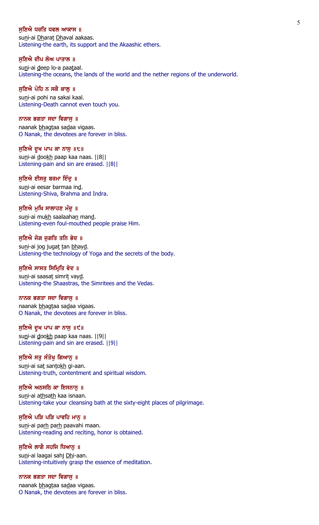#### ਸਣਿਐ ਧਰਤਿ ਧਵਲ ਆਕਾਸ ॥

suni-ai Dharat Dhaval aakaas. Listening-the earth, its support and the Akaashic ethers.

#### ਸੁਣਿਐ ਦੀਪ ਲੋਅ ਪਾਤਾਲ ॥

suni-ai deep lo-a paataal. Listening-the oceans, the lands of the world and the nether regions of the underworld.

### ਸੁਣਿਐ ਪੋਹਿ ਨ ਸਕੈ ਕਾਲੂ ॥

suni-ai pohi na sakai kaal. Listening-Death cannot even touch you.

#### ਨਾਨਕ ਭਗਤਾ ਸਦਾ ਵਿਗਾਸ ॥

naanak bhagtaa sadaa vigaas. O Nanak, the devotees are forever in bliss.

ਸੁਣਿਐ ਦੁਖ ਪਾਪ ਕਾ ਨਾਸੁ ॥੮॥ suni-ai dookh paap kaa naas. ||8|| Listening-pain and sin are erased. ||8||

## ਸੁਣਿਐ ਈਸਰੂ ਬਰਮਾ ਇੰਦੂ ॥

suni-ai eesar barmaa ind. Listening-Shiva, Brahma and Indra.

### ਸਣਿਐ ਮਖਿ ਸਾਲਾਹਣ ਮੰਦ ॥

suni-ai mukh saalaahan mand. Listening-even foul-mouthed people praise Him.

#### ਸੁਣਿਐ ਜੋਗ ਜੁਗਤਿ ਤਨਿ ਭੇਦ ॥

suni-ai jog jugat tan bhayd. Listening-the technology of Yoga and the secrets of the body.

### ਸੁਣਿਐ ਸਾਸਤ ਸਿਮ੍ਰਿਤਿ ਵੇਦ ॥

suni-ai saasat simrit vayd. Listening-the Shaastras, the Simritees and the Vedas.

#### ਨਾਨਕ ਭਗਤਾ ਸਦਾ ਵਿਗਾਸੁ ॥

naanak bhagtaa sadaa vigaas. O Nanak, the devotees are forever in bliss.

#### ਸੁਣਿਐ ਦੁਖ ਪਾਪ ਕਾ ਨਾਸੁ ॥੯॥

suni-ai dookh paap kaa naas. ||9|| Listening-pain and sin are erased. ||9||

#### ਸੁਣਿਐ ਸਤੁ ਸੰਤੋਖੁ ਗਿਆਨੁ ॥

suni-ai sat santokh gi-aan. Listening-truth, contentment and spiritual wisdom.

### ਸੁਣਿਐ ਅਠਸਠਿ ਕਾ ਇਸਨਾਨੁ ॥

suni-ai athsath kaa isnaan. Listening-take your cleansing bath at the sixty-eight places of pilgrimage.

### ਸੁਣਿਐ ਪੜਿ ਪੜਿ ਪਾਵਹਿ ਮਾਨੂ ॥

suni-ai parh parh paavahi maan. Listening-reading and reciting, honor is obtained.

#### ਸੁਣਿਐ ਲਾਗੈ ਸਹਜਿ ਧਿਆਨੂ ॥

suni-ai laagai sahj Dhi-aan. Listening-intuitively grasp the essence of meditation.

#### ਨਾਨਕ ਭਗਤਾ ਸਦਾ ਵਿਗਾਸੁ ॥

naanak bhagtaa sadaa vigaas. O Nanak, the devotees are forever in bliss.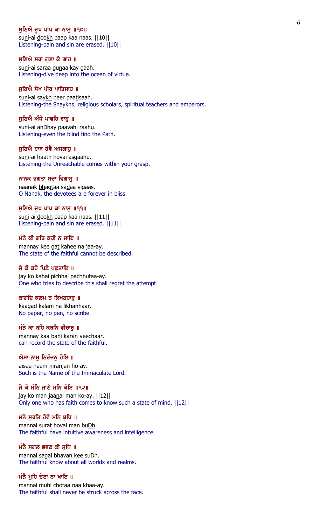#### ਸੁਣਿਐ ਦੁਖ ਪਾਪ ਕਾ ਨਾਸੁ ॥੧੦॥

suni-ai dookh paap kaa naas. | | 10 | | Listening-pain and sin are erased. ||10||

#### ਸੁਣਿਐ ਸਰਾ ਗੁਣਾ ਕੇ ਗਾਹ ॥

suni-ai saraa gunaa kay gaah. Listening-dive deep into the ocean of virtue.

### ਸੁਣਿਐ ਸੇਖ ਪੀਰ ਪਾਤਿਸਾਹ ॥

suni-ai saykh peer paatisaah. Listening-the Shaykhs, religious scholars, spiritual teachers and emperors.

#### ਸਣਿਐ ਅੰਧੇ ਪਾਵਹਿ ਰਾਹ ॥

suni-ai anDhay paavahi raahu. Listening-even the blind find the Path.

#### ਸਣਿਐ ਹਾਥ ਹੋਵੈ ਅਸਗਾਹ ॥

suni-ai haath hovai asgaahu. Listening-the Unreachable comes within your grasp.

#### ਨਾਨਕ ਭਗਤਾ ਸਦਾ ਵਿਗਾਸੁ ॥

naanak bhagtaa sadaa vigaas. O Nanak, the devotees are forever in bliss.

#### ਸਣਿਐ ਦੁਖ ਪਾਪ ਕਾ ਨਾਸ ॥੧੧॥

suni-ai dookh paap kaa naas. | | 11| | Listening-pain and sin are erased. ||11||

#### ਮੰਨੇ ਕੀ ਗਤਿ ਕਹੀ ਨ ਜਾਇ ॥

mannay kee gat kahee na jaa-ay. The state of the faithful cannot be described.

### ਜੇ ਕੋ ਕਹੈ ਪਿਛੈ ਪਛਤਾਇ ॥

jay ko kahai pichhai pachhutaa-ay. One who tries to describe this shall regret the attempt.

## ਕਾਗਦਿ ਕਲਮ ਨ ਲਿਖਣਹਾਰੁ ॥

kaagad kalam na likhanhaar. No paper, no pen, no scribe

#### ਮੰਨੇ ਕਾ ਬਹਿ ਕਰਨਿ ਵੀਚਾਰੂ ॥

mannay kaa bahi karan veechaar. can record the state of the faithful.

#### ਐਸਾ ਨਾਮੁ ਨਿਰੰਜਨੁ ਹੋਇ ॥

aisaa naam niranjan ho-ay. Such is the Name of the Immaculate Lord.

### ਜੇ ਕੋ ਮੰਨਿ ਜਾਣੈ ਮਨਿ ਕੋਇ ॥੧੨॥

jay ko man jaanai man ko-ay. ||12|| Only one who has faith comes to know such a state of mind. ||12||

### ਮੰਨੈ ਸੁਰਤਿ ਹੋਵੈ ਮਨਿ ਬੁਧਿ ॥

mannai surat hovai man buDh. The faithful have intuitive awareness and intelligence.

#### ਮੰਨੈ ਸਗਲ ਭਵਣ ਕੀ ਸੁਧਿ ॥

mannai sagal bhavan kee suDh. The faithful know about all worlds and realms.

## ਮੰਨੈ ਮੁਹਿ ਚੋਟਾ ਨਾ ਖਾਇ ॥

mannai muhi chotaa naa khaa-ay. The faithful shall never be struck across the face.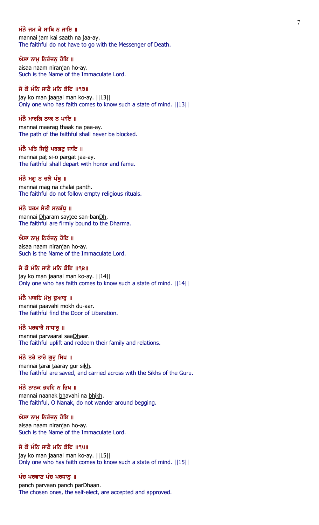### ਮੰਨੈ ਜਮ ਕੈ ਸਾਥਿ ਨ ਜਾਇ ॥

mannai jam kai saath na jaa-ay. The faithful do not have to go with the Messenger of Death.

#### ਐਸਾ ਨਾਮੂ ਨਿਰੰਜਨੂ ਹੋਇ ॥

aisaa naam niranjan ho-ay. Such is the Name of the Immaculate Lord.

## ਜੇ ਕੋ ਮੰਨਿ ਜਾਣੈ ਮਨਿ ਕੋਇ ॥੧੩॥

jay ko man jaanai man ko-ay. | | 13 | | Only one who has faith comes to know such a state of mind. ||13||

### ਮੰਨੈ ਮਾਰਗਿ ਠਾਕ ਨ ਪਾਇ $\,$  ॥

mannai maarag thaak na paa-ay. The path of the faithful shall never be blocked.

#### ਮੰਨੈ ਪਤਿ ਸਿੳ ਪਰਗਟ ਜਾਇ ॥

mannai pat si-o pargat jaa-ay. The faithful shall depart with honor and fame.

### ਮੰਨੈ ਮਗੂ ਨ ਚਲੈ ਪੰ<u>ਥ</u> ॥

mannai mag na chalai panth. The faithful do not follow empty religious rituals.

#### ਮੰਨੈ ਧਰਮ ਸੇਤੀ ਸਨਬੰਧ ॥

mannai Dharam saytee san-banDh. The faithful are firmly bound to the Dharma.

#### ਐਸਾ ਨਾਮੂ ਨਿਰੰਜਨੂ ਹੋਇ ॥

aisaa naam niranjan ho-ay. Such is the Name of the Immaculate Lord.

### ਜੇ ਕੋ ਮੰਨਿ ਜਾਣੈ ਮਨਿ ਕੋਇ ॥੧੪॥

jay ko man jaanai man ko-ay. | | 14| | Only one who has faith comes to know such a state of mind. ||14||

## ਮੰਨੈ ਪਾਵਹਿ ਮੋਖ ਦਆਰ ॥

mannai paavahi mokh du-aar. The faithful find the Door of Liberation.

### ਮੰਨੈ ਪਰਵਾਰੈ ਸਾਧਾਰ ॥

mannai parvaarai saaDhaar. The faithful uplift and redeem their family and relations.

#### ਮੰਨੈ ਤਰੈ ਤਾਰੇ ਗਰ ਸਿਖ ॥

mannai tarai taaray gur sikh. The faithful are saved, and carried across with the Sikhs of the Guru.

### ਮੰਨੈ ਨਾਨਕ ਭਵਹਿ ਨ ਭਿਖ ॥

mannai naanak bhavahi na bhikh. The faithful, O Nanak, do not wander around begging.

#### ਐਸਾ ਨਾਮੂ ਨਿਰੰਜਨੂ ਹੋਇ ॥

aisaa naam niranjan ho-ay. Such is the Name of the Immaculate Lord.

## ਜੇ ਕੋ ਮੰਨਿ ਜਾਣੈ ਮਨਿ ਕੋਇ ॥੧੫॥

jay ko man jaanai man ko-ay. ||15|| Only one who has faith comes to know such a state of mind. ||15||

## ਪੰਚ ਪਰਵਾਣ ਪੰਚ ਪਰਧਾਨ ॥

panch parvaan panch parDhaan. The chosen ones, the self-elect, are accepted and approved.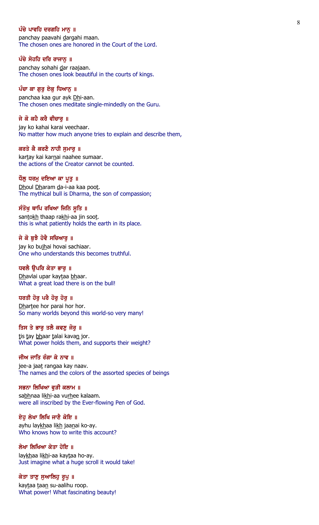### ਪੰਚੇ ਪਾਵਹਿ ਦਰਗਹਿ ਮਾਨ ॥

panchay paavahi dargahi maan. The chosen ones are honored in the Court of the Lord.

#### ਪੰਚੇ ਸੋਹਹਿ ਦਰਿ ਰਾਜਾਨੂ ॥

panchay sohahi dar raajaan. The chosen ones look beautiful in the courts of kings.

### ਪੰਚਾ ਕਾ ਗੁਰੂ ਏਕੂ ਧਿਆਨੂ ॥

panchaa kaa gur ayk Dhi-aan. The chosen ones meditate single-mindedly on the Guru.

#### ਜੇ ਕੋ ਕਹੈ ਕਰੈ ਵੀਚਾਰ ॥

jay ko kahai karai veechaar. No matter how much anyone tries to explain and describe them,

#### ਕਰਤੇ ਕੈ ਕਰਣੈ ਨਾਹੀ ਸਮਾਰ ॥

kartay kai karnai naahee sumaar. the actions of the Creator cannot be counted.

#### ਧੌਲੂ ਧਰਮੂ ਦਇਆ ਕਾ ਪੂਤੁ ॥

Dhoul Dharam da-i-aa kaa poot. The mythical bull is Dharma, the son of compassion;

### ਸੰਤੋਖ ਥਾਪਿ ਰਖਿਆ ਜਿਨਿ ਸਤਿ ॥

san<u>tokh</u> thaap ra<u>kh</u>i-aa jin soo<u>t</u>. this is what patiently holds the earth in its place.

#### ਜੇ ਕੋ ਬਝੈ ਹੋਵੈ ਸਚਿਆਰ ॥

jay ko bujhai hovai sachiaar. One who understands this becomes truthful.

### ਧਵਲੈ ੳਪਰਿ ਕੇਤਾ ਭਾਰ ॥

<u>Dh</u>avlai upar kay<u>t</u>aa <u>bh</u>aar. What a great load there is on the bull!

## ਧਰਤੀ ਹੋਰ ਪਰੈ ਹੋਰ ਹੋਰ ॥

Dhartee hor parai hor hor. So many worlds beyond this world-so very many!

#### ਤਿਸ ਤੇ ਭਾਰੂ ਤਲੈ ਕਵਣੂ ਜੋਰੂ ॥

tis tay bhaar talai kavan jor. What power holds them, and supports their weight?

#### ਜੀਅ ਜਾਤਿ ਰੰਗਾ ਕੇ ਨਾਵ ॥

jee-a jaa<u>t</u> rangaa kay naav. The names and the colors of the assorted species of beings

## ਸਭਨਾ ਲਿਖਿਆ ਵੁੜੀ ਕਲਾਮ ॥

sabhnaa likhi-aa vurhee kalaam. were all inscribed by the Ever-flowing Pen of God.

## ਏਹੁ ਲੇਖਾ ਲਿਖਿ ਜਾਣੈ ਕੋਇ ॥

ayhu lay<u>kh</u>aa li<u>kh</u> jaa<u>n</u>ai ko-ay. Who knows how to write this account?

#### ਲੇਖਾ ਲਿਖਿਆ ਕੇਤਾ ਹੋਇ ॥

lay<u>kh</u>aa li<u>kh</u>i-aa kaytaa ho-ay. Just imagine what a huge scroll it would take!

#### ਕੇਤਾ ਤਾਣੂ ਸੁਆਲਿਹੂ ਰੂਪੂ ॥

kay<u>t</u>aa <u>t</u>aa<u>n</u> su-aalihu roop. What power! What fascinating beauty!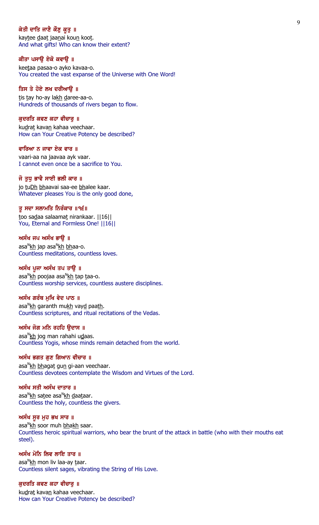## ਕੇਤੀ ਦਾਤਿ ਜਾਣੈ ਕੌਣੁ ਕੂਤੁ ॥

kaytee daat jaanai koun koot. And what gifts! Who can know their extent?

#### ਕੀਤਾ ਪਸਾਉ ਏਕੋ ਕਵਾਉ ॥

keetaa pasaa-o ayko kavaa-o. You created the vast expanse of the Universe with One Word!

## ਤਿਸ ਤੇ ਹੋਏ ਲਖ ਦਰੀਆਉ ॥

tis tay ho-ay lakh daree-aa-o. Hundreds of thousands of rivers began to flow.

#### ਕਦਰਤਿ ਕਵਣ ਕਹਾ ਵੀਚਾਰ ॥

kudrat kavan kahaa veechaar. How can Your Creative Potency be described?

#### ਵਾਰਿਆ ਨ ਜਾਵਾ ਏਕ ਵਾਰ ॥

vaari-aa na jaavaa ayk vaar. I cannot even once be a sacrifice to You.

### ਜੋ ਤਧ ਭਾਵੈ ਸਾਈ ਭਲੀ ਕਾਰ ॥

jo tuDh bhaavai saa-ee bhalee kaar. Whatever pleases You is the only good done,

### ਤ ਸਦਾ ਸਲਾਮਤਿ ਨਿਰੰਕਾਰ ॥੧੬॥

too sadaa salaamat nirankaar. ||16|| You, Eternal and Formless One! ||16||

#### ਅਸੰਖ ਜਪ ਅਸੰਖ ਭਾੳ ॥

asa<sup>n</sup><u>kh</u> jap asa<sup>n</sup>kh <u>bh</u>aa-o. Countless meditations, countless loves.

## ਅਸੰਖ ਪੂਜਾ ਅਸੰਖ ਤਪ ਤਾਉ ॥

asa<sup>n</sup>kh poojaa asa<sup>n</sup>kh <u>t</u>ap <u>t</u>aa-o. Countless worship services, countless austere disciplines.

### ਅਸੰਖ ਗਰੰਥ ਮਖਿ ਵੇਦ ਪਾਠ ॥

asa<sup>n</sup><u>kh</u> garanth mu<u>kh</u> vay<u>d</u> paa<u>th</u>. Countless scriptures, and ritual recitations of the Vedas.

## ਅਸੰਖ ਜੋਗ ਮਨਿ ਰਹਹਿ ਉਦਾਸ ॥

asa<sup>n</sup>kh jog man rahahi u<u>d</u>aas. Countless Yogis, whose minds remain detached from the world.

#### ਅਸੰਖ ਭਗਤ ਗਣ ਗਿਆਨ ਵੀਚਾਰ ॥

asa<sup>n</sup><u>kh bh</u>aga<u>t</u> gu<u>n</u> gi-aan veechaar. Countless devotees contemplate the Wisdom and Virtues of the Lord.

#### ਅਸੰਖ ਸਤੀ ਅਸੰਖ ਦਾਤਾਰ ॥

asa<sup>n</sup><u>kh</u> sa<u>t</u>ee asa<sup>n</sup>kh <u>d</u>aa<u>t</u>aar. Countless the holy, countless the givers.

## ਅਸੰਖ ਸੁਰ ਮੁਹ ਭਖ ਸਾਰ ॥

asa<sup>n</sup><u>kh</u> soor muh <u>bhakh</u> saar. Countless heroic spiritual warriors, who bear the brunt of the attack in battle (who with their mouths eat steel).

## ਅਸੰਖ ਮੋਨਿ ਲਿਵ ਲਾਇ ਤਾਰ ॥

asa<sup>n</sup><u>kh</u> mon liv laa-ay <u>t</u>aar. Countless silent sages, vibrating the String of His Love.

#### ਕੁਦਰਤਿ ਕਵਣ ਕਹਾ ਵੀਚਾਰੂ ॥

kudrat kavan kahaa veechaar. How can Your Creative Potency be described?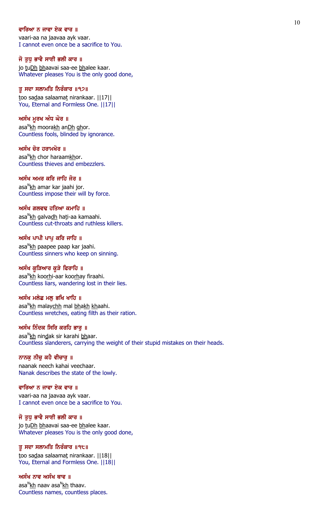### ਵਾਰਿਆ ਨ ਜਾਵਾ ਏਕ ਵਾਰ ॥

vaari-aa na jaavaa ayk vaar. I cannot even once be a sacrifice to You.

#### ਜੋ ਤੁਧੂ ਭਾਵੈ ਸਾਈ ਭਲੀ ਕਾਰ ॥

jo tuDh bhaavai saa-ee bhalee kaar. Whatever pleases You is the only good done,

## ਤੂ ਸਦਾ ਸਲਾਮਤਿ ਨਿਰੰਕਾਰ ॥੧੭॥

too sadaa salaamat nirankaar. ||17|| You, Eternal and Formless One. ||17||

#### ਅਸੰਖ ਮੁਰਖ ਅੰਧ ਘੋਰ ॥

asa<sup>n</sup><u>kh</u> moora<u>kh</u> an<u>Dh gh</u>or. Countless fools, blinded by ignorance.

#### ਅਸੰਖ ਚੋਰ ਹਰਾਮਖੋਰ ॥

asa<sup>n</sup>kh chor haraam<u>kh</u>or. Countless thieves and embezzlers.

### ਅਸੰਖ ਅਮਰ ਕਰਿ ਜਾਹਿ ਜੋਰ ॥

asa<sup>n</sup><u>kh</u> amar kar jaahi jor. Countless impose their will by force.

#### ਅਸੰਖ ਗਲਵਢ ਹਤਿਆ ਕਮਾਹਿ ॥

asa<sup>n</sup><u>kh</u> galva<u>dh</u> ha<u>t</u>i-aa kamaahi. Countless cut-throats and ruthless killers.

#### ਅਸੰਖ ਪਾਪੀ ਪਾਪੂ ਕਰਿ ਜਾਹਿ ॥

asa<sup>n</sup>kh paapee paap kar jaahi. Countless sinners who keep on sinning.

#### ਅਸੰਖ ਕੁੜਿਆਰ ਕੁੜੇ ਫਿਰਾਹਿ ॥

asa<sup>n</sup>kh koo<u>rh</u>i-aar koo<u>rh</u>ay firaahi. Countless liars, wandering lost in their lies.

### ਅਸੰਖ ਮਲੇਛ ਮਲੂ ਭਖਿ ਖਾਹਿ ॥

asa<sup>n</sup><u>kh</u> malay<u>chh</u> mal <u>bhakh kh</u>aahi. Countless wretches, eating filth as their ration.

## ਅਸੰਖ ਨਿੰਦਕ ਸਿਰਿ ਕਰਹਿ ਭਾਰੂ ॥

asa<sup>n</sup>kh nin<u>d</u>ak sir karahi <u>bh</u>aar. Countless slanderers, carrying the weight of their stupid mistakes on their heads.

#### ਨਾਨਕੁ ਨੀਚੁ ਕਹੈ ਵੀਚਾਰੁ ॥

naanak neech kahai veechaar. Nanak describes the state of the lowly.

#### ਵਾਰਿਆ ਨ ਜਾਵਾ ਏਕ ਵਾਰ ॥

vaari-aa na jaavaa ayk vaar. I cannot even once be a sacrifice to You.

## ਜੋ ਤੁਧੁ ਭਾਵੈ ਸਾਈ ਭਲੀ ਕਾਰ ॥

jo tuDh bhaavai saa-ee bhalee kaar. Whatever pleases You is the only good done,

#### ਤੂ ਸਦਾ ਸਲਾਮਤਿ ਨਿਰੰਕਾਰ ॥੧੮॥

too sadaa salaamat nirankaar. | | 18 | | You, Eternal and Formless One. ||18||

## ਅਸੰਖ ਨਾਵ ਅਸੰਖ ਥਾਵ ॥

asa<sup>n</sup><u>kh</u> naav asa<sup>n</sup>kh thaav. Countless names, countless places.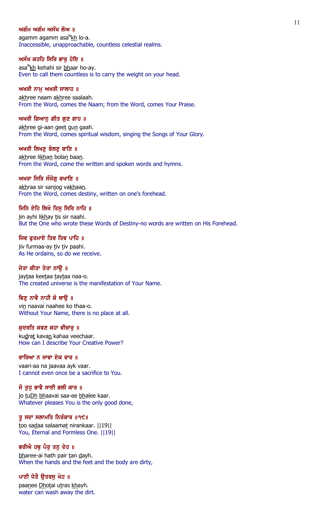### ਅਗੰਮ ਅਗੰਮ ਅਸੰਖ ਲੋਅ ॥

agamm agamm asa<sup>n</sup>kh lo-a. Inaccessible, unapproachable, countless celestial realms.

#### ਅਸੰਖ ਕਹਹਿ ਸਿਰਿ ਭਾਰੂ ਹੋਇ ॥

asa<sup>n</sup>kh kehahi sir <u>bh</u>aar ho-ay. Even to call them countless is to carry the weight on your head.

## ਅਖਰੀ ਨਾਮੂ ਅਖਰੀ ਸਾਲਾਹ ॥

akhree naam akhree saalaah. From the Word, comes the Naam; from the Word, comes Your Praise.

### ਅਖਰੀ ਗਿਆਨ ਗੀਤ ਗਣ ਗਾਹ ॥

akhree gi-aan geet gun gaah. From the Word, comes spiritual wisdom, singing the Songs of Your Glory.

### ਅਖਰੀ ਲਿਖਣ ਬੋਲਣ ਬਾਣਿ ॥

akhree likhan bolan baan. From the Word, come the written and spoken words and hymns.

### ਅਖਰਾ ਸਿਰਿ ਸੰਜੋਗ ਵਖਾਣਿ ॥

akhraa sir sanjog vakhaan. From the Word, comes destiny, written on one's forehead.

### ਜਿਨਿ ਏਹਿ ਲਿਖੇ ਤਿਸ ਸਿਰਿ ਨਾਹਿ ॥

jin ayhi likhay tis sir naahi. But the One who wrote these Words of Destiny-no words are written on His Forehead.

### ਜਿਵ ਫਰਮਾਏ ਤਿਵ ਤਿਵ ਪਾਹਿ ॥

jiv furmaa-ay tiv tiv paahi. As He ordains, so do we receive.

### ਜੇਤਾ ਕੀਤਾ ਤੇਤਾ ਨਾੳ ॥

jaytaa keetaa taytaa naa-o. The created universe is the manifestation of Your Name.

## ਵਿਣ ਨਾਵੈ ਨਾਹੀ ਕੋ ਥਾੳ ॥

vin naavai naahee ko thaa-o. Without Your Name, there is no place at all.

### ਕੁਦਰਤਿ ਕਵਣ ਕਹਾ ਵੀਚਾਰੂ ॥

kudrat kavan kahaa veechaar. How can I describe Your Creative Power?

### ਵਾਰਿਆ ਨ ਜਾਵਾ ਏਕ ਵਾਰ ॥

vaari-aa na jaavaa ayk vaar. I cannot even once be a sacrifice to You.

### ਜੋ ਤੁਧ ਭਾਵੈ ਸਾਈ ਭਲੀ ਕਾਰ ॥

jo tuDh bhaavai saa-ee bhalee kaar. Whatever pleases You is the only good done,

### ਤੂ ਸਦਾ ਸਲਾਮਤਿ ਨਿਰੰਕਾਰ ॥੧੯॥

too sadaa salaamat nirankaar. | | 19 | | You, Eternal and Formless One. ||19||

## ਭਰੀਐ ਹਥੂ ਪੈਰੂ ਤਨੂ ਦੇਹ ॥

bharee-ai hath pair tan dayh. When the hands and the feet and the body are dirty,

# ਪਾਣੀ ਧੋਤੈ ਉਤਰਸੂ ਖੇਹ ॥

paanee Dhotai utras khayh. water can wash away the dirt.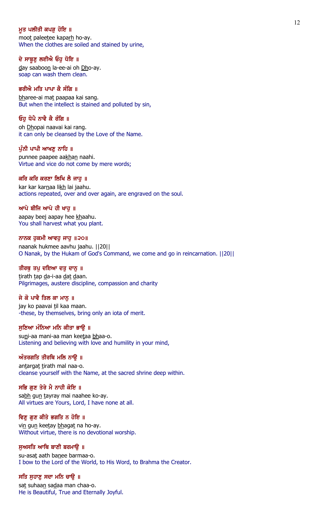## ਮਤ ਪਲੀਤੀ ਕਪੜ ਹੋਇ ॥

moot paleetee kaparh ho-ay. When the clothes are soiled and stained by urine,

#### ਦੇ ਸਾਬੂਣੂ ਲਈਐ ਓਹੁ ਧੋਇ ॥

day saaboon la-ee-ai oh Dho-ay. soap can wash them clean.

## ਭਰੀਐ ਮਤਿ ਪਾਪਾ ਕੈ ਸੰਗਿ ॥

bharee-ai mat paapaa kai sang. But when the intellect is stained and polluted by sin,

## ਓਹ ਧੋਪੈ ਨਾਵੈ ਕੈ ਰੰਗਿ ॥

oh Dhopai naavai kai rang. it can only be cleansed by the Love of the Name.

#### ਪੰਨੀ ਪਾਪੀ ਆਖਣ ਨਾਹਿ ॥

punnee paapee aakhan naahi. Virtue and vice do not come by mere words;

### ਕਰਿ ਕਰਿ ਕਰਣਾ ਲਿਖਿ ਲੈ ਜਾਹੂ ॥

kar kar karnaa likh lai jaahu. actions repeated, over and over again, are engraved on the soul.

### ਆਪੇ ਬੀਜਿ ਆਪੇ ਹੀ ਖਾਹ ॥

aapay beej aapay hee khaahu. You shall harvest what you plant.

### ਨਾਨਕ ਹੁਕਮੀ ਆਵਹੁ ਜਾਹੁ ॥੨੦॥

naanak hukmee aavhu jaahu. ||20|| O Nanak, by the Hukam of God's Command, we come and go in reincarnation. ||20||

#### ਤੀਰਥੁ ਤਪੁ ਦਇਆ ਦਤੁ ਦਾਨੁ ॥

tirath tap da-i-aa dat daan. Pilgrimages, austere discipline, compassion and charity

## ਜੇ ਕੋ ਪਾਵੈ ਤਿਲ ਕਾ ਮਾਨ ॥

jay ko paavai til kaa maan. -these, by themselves, bring only an iota of merit.

### ਸੁਣਿਆ ਮੰਨਿਆ ਮਨਿ ਕੀਤਾ ਭਾਉ ॥

suni-aa mani-aa man keetaa bhaa-o. Listening and believing with love and humility in your mind,

#### ਅੰਤਰਗਤਿ ਤੀਰਥਿ ਮਲਿ ਨਾੳ ॥

antargat tirath mal naa-o. cleanse yourself with the Name, at the sacred shrine deep within.

#### ਸਭਿ ਗੁਣ ਤੇਰੇ ਮੈ ਨਾਹੀ ਕੋਇ ॥

sabh gun tayray mai naahee ko-ay. All virtues are Yours, Lord, I have none at all.

### ਵਿਣੂ ਗੁਣ ਕੀਤੇ ਭਗਤਿ ਨ ਹੋਇ ॥

vin gun keetay bhagat na ho-ay. Without virtue, there is no devotional worship.

### ਸੁਅਸਤਿ ਆਥਿ ਬਾਣੀ ਬਰਮਾਉ ॥

su-asat aath banee barmaa-o. I bow to the Lord of the World, to His Word, to Brahma the Creator.

### ਸਤਿ ਸੁਹਾਣੂ ਸਦਾ ਮਨਿ ਚਾਉ ॥

sat suhaan sadaa man chaa-o. He is Beautiful, True and Eternally Joyful.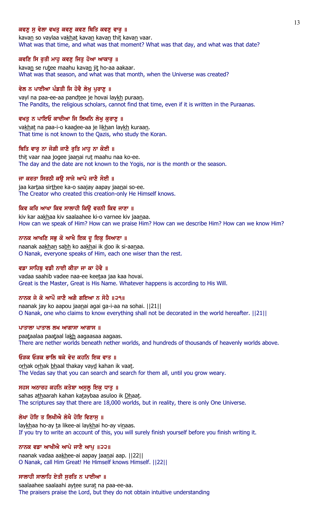## ਕਵਣ ਸ ਵੇਲਾ ਵਖਤ ਕਵਣ ਕਵਣ ਥਿਤਿ ਕਵਣ ਵਾਰ ॥

kavan so vaylaa vakhat kavan kavan thit kavan vaar. What was that time, and what was that moment? What was that day, and what was that date?

## ਕਵਣਿ ਸਿ ਰੁਤੀ ਮਾਹੂ ਕਵਣੂ ਜਿਤੂ ਹੋਆ ਆਕਾਰੂ ॥

kavan se rutee maahu kavan jit ho-aa aakaar. What was that season, and what was that month, when the Universe was created?

## ਵੇਲ ਨ ਪਾਈਆ ਪੰਡਤੀ ਜਿ ਹੋਵੈ ਲੇਖੂ ਪੁਰਾਣੂ ॥

vayl na paa-ee-aa pandtee je hovai laykh puraan. The Pandits, the religious scholars, cannot find that time, even if it is written in the Puraanas.

## ਵਖਤ ਨ ਪਾਇਓ ਕਾਦੀਆ ਜਿ ਲਿਖਨਿ ਲੇਖ ਕਰਾਣ ॥

vakhat na paa-i-o kaadee-aa je likhan laykh kuraan. That time is not known to the Qazis, who study the Koran.

## ਥਿਤਿ ਵਾਰ ਨਾ ਜੋਗੀ ਜਾਣੈ ਰਤਿ ਮਾਹ ਨਾ ਕੋਈ ॥

thit vaar naa jogee jaanai rut maahu naa ko-ee. The day and the date are not known to the Yogis, nor is the month or the season.

## ਜਾ ਕਰਤਾ ਸਿਰਠੀ ਕਉ ਸਾਜੇ ਆਪੇ ਜਾਣੈ ਸੋਈ ॥

jaa kartaa sirthee ka-o saajay aapay jaanai so-ee. The Creator who created this creation-only He Himself knows.

## ਕਿਵ ਕਰਿ ਆਖਾ ਕਿਵ ਸਾਲਾਹੀ ਕਿੳ ਵਰਨੀ ਕਿਵ ਜਾਣਾ ॥

kiv kar aakhaa kiv saalaahee ki-o varnee kiv jaanaa. How can we speak of Him? How can we praise Him? How can we describe Him? How can we know Him?

## ਨਾਨਕ ਆਖਣਿ ਸਭੁ ਕੋ ਆਖੈ ਇਕ ਦੁ ਇਕੁ ਸਿਆਣਾ ॥

naanak aakhan sabh ko aakhai ik doo ik si-aanaa. O Nanak, everyone speaks of Him, each one wiser than the rest.

## ਵਡਾ ਸਾਹਿਬ ਵਡੀ ਨਾਈ ਕੀਤਾ ਜਾ ਕਾ ਹੋਵੈ ॥

vadaa saahib vadee naa-ee keetaa jaa kaa hovai. Great is the Master, Great is His Name. Whatever happens is according to His Will.

# ਨਾਨਕ ਜੇ ਕੋ ਆਪੌ ਜਾਣੈ ਅਗੈ ਗਇਆ ਨ ਸੋਹੈ ॥੨੧॥

naanak jay ko aapou jaanai agai ga-i-aa na sohai. ||21|| O Nanak, one who claims to know everything shall not be decorated in the world hereafter. ||21||

## ਪਾਤਾਲਾ ਪਾਤਾਲ ਲਖ ਆਗਾਸਾ ਆਗਾਸ $\parallel$

paataalaa paataal lakh aagaasaa aagaas. There are nether worlds beneath nether worlds, and hundreds of thousands of heavenly worlds above.

### ਓਤਕ ਓਤਕ ਭਾਲਿ ਥਕੇ ਵੇਦ ਕਹਨਿ ਇਕ ਵਾਤ ॥

orhak orhak bhaal thakay vayd kahan ik vaat. The Vedas say that you can search and search for them all, until you grow weary.

### ਸਹਸ ਅਠਾਰਹ ਕਹਨਿ ਕਤੇਬਾ ਅਸੁਲੂ ਇਕੁ ਧਾਤੁ ॥

sahas athaarah kahan kataybaa asuloo ik Dhaat. The scriptures say that there are 18,000 worlds, but in reality, there is only One Universe.

## ਲੇਖਾ ਹੋਇ ਤ ਲਿਖੀਐ ਲੇਖੈ ਹੋਇ ਵਿਣਾਸੁ ॥

laykhaa ho-ay ta likee-ai laykhai ho-ay vinaas. If you try to write an account of this, you will surely finish yourself before you finish writing it.

### ਨਾਨਕ ਵਡਾ ਆਖੀਐ ਆਪੇ ਜਾਣੇ ਆਪ ॥੨੨॥

naanak vadaa aakhee-ai aapay jaanai aap. ||22|| O Nanak, call Him Great! He Himself knows Himself. ||22||

## ਸਾਲਾਹੀ ਸਾਲਾਹਿ ਏਤੀ ਸੁਰਤਿ ਨ ਪਾਈਆ ॥

saalaahee saalaahi aytee surat na paa-ee-aa. The praisers praise the Lord, but they do not obtain intuitive understanding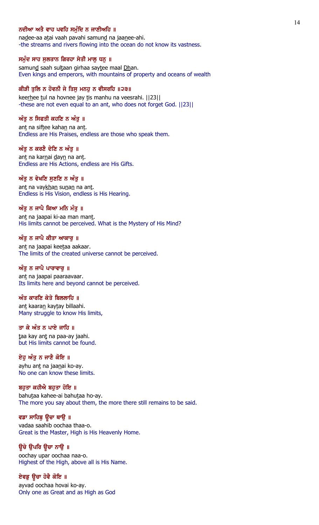## ਨਦੀਆ ਅਤੈ ਵਾਹ ਪਵਹਿ ਸਮੰਦਿ ਨ ਜਾਣੀਅਹਿ ॥

nadee-aa atai vaah pavahi samund na jaanee-ahi. -the streams and rivers flowing into the ocean do not know its vastness.

### ਸਮੁੰਦ ਸਾਹ ਸੁਲਤਾਨ ਗਿਰਹਾ ਸੇਤੀ ਮਾਲੂ ਧਨੂ ॥

samund saah sultaan girhaa saytee maal Dhan. Even kings and emperors, with mountains of property and oceans of wealth

## ਕੀੜੀ ਤੁਲਿ ਨ ਹੋਵਨੀ ਜੇ ਤਿਸੂ ਮਨਹੂ ਨ ਵੀਸਰਹਿ ॥੨੩॥

keerhee tul na hovnee jay tis manhu na veesrahi. | [23] | -these are not even equal to an ant, who does not forget God. ||23||

### ਅੰਤ ਨ ਸਿਫਤੀ ਕਹਣਿ ਨ ਅੰਤ $\,$  ॥

ant na siftee kahan na ant. Endless are His Praises, endless are those who speak them.

#### ਅੰਤ ਨ ਕਰਣੈ ਦੇਣਿ ਨ ਅੰਤ ॥

ant na karnai dayn na ant. Endless are His Actions, endless are His Gifts.

### ਅੰਤੂ ਨ ਵੇਖਣਿ ਸੁਣਣਿ ਨ ਅੰਤੂ ॥

ant na vaykhan sunan na ant. Endless is His Vision, endless is His Hearing.

### ਅੰਤ ਨ ਜਾਪੈ ਕਿਆ ਮਨਿ ਮੰਤ ॥

ant na jaapai ki-aa man mant. His limits cannot be perceived. What is the Mystery of His Mind?

#### ਅੰਤੂ ਨ ਜਾਪੈ ਕੀਤਾ ਆਕਾਰੂ ॥

ant na jaapai keetaa aakaar. The limits of the created universe cannot be perceived.

#### ਅੰਤੂ ਨ ਜਾਪੈ ਪਾਰਾਵਾਰੂ ॥

ant na jaapai paaraavaar. Its limits here and beyond cannot be perceived.

#### $\hat{\mathcal{W}}$ ਤ ਕਾਰਣਿ ਕੇਤੇ ਬਿਲਲਾਹਿ ॥

ant kaaran kaytay billaahi. Many struggle to know His limits,

## ਤਾ ਕੇ ਅੰਤ ਨ ਪਾਏ ਜਾਹਿ ॥

taa kay ant na paa-ay jaahi. but His limits cannot be found.

#### ਏਹ ਅੰਤ ਨ ਜਾਣੈ ਕੋਇ ॥

ayhu ant na jaanai ko-ay. No one can know these limits.

#### ਬਹੁਤਾ ਕਹੀਐ ਬਹੁਤਾ ਹੋਇ ॥

bahutaa kahee-ai bahutaa ho-ay. The more you say about them, the more there still remains to be said.

### ਵਡਾ ਸਾਹਿਬੂ ਉਚਾ ਥਾਉ ॥

vadaa saahib oochaa thaa-o. Great is the Master, High is His Heavenly Home.

#### ਉਚੇ ਉਪਰਿ ਉਚਾ ਨਾਉ ॥

oochay upar oochaa naa-o. Highest of the High, above all is His Name.

## ਏਵਡੂ ਉਚਾ ਹੋਵੈ ਕੋਇ ॥

ayvad oochaa hovai ko-ay. Only one as Great and as High as God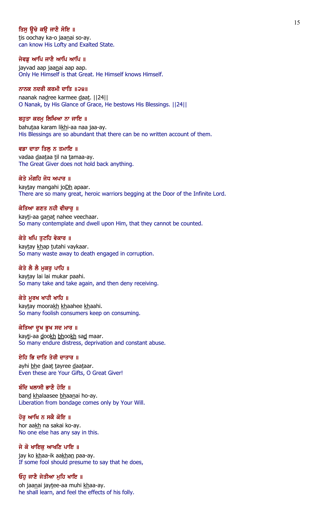## ਤਿਸ ਉਚੇ ਕੳ ਜਾਣੈ ਸੋਇ ॥

tis oochay ka-o jaanai so-ay. can know His Lofty and Exalted State.

#### ਜੇਵਡ ਆਪਿ ਜਾਣੈ ਆਪਿ ਆਪਿ ॥

jayvad aap jaanai aap aap. Only He Himself is that Great. He Himself knows Himself.

## ਨਾਨਕ ਨਦਰੀ ਕਰਮੀ ਦਾਤਿ ॥੨੪॥

naanak nadree karmee daat. | | 24 | | O Nanak, by His Glance of Grace, He bestows His Blessings. ||24||

#### ਬਹਤਾ ਕਰਮ ਲਿਖਿਆ ਨਾ ਜਾਇ ॥

bahutaa karam likhi-aa naa jaa-ay. His Blessings are so abundant that there can be no written account of them.

#### ਵਡਾ ਦਾਤਾ ਤਿਲ ਨ ਤਮਾਇ ॥

vadaa daataa til na tamaa-ay. The Great Giver does not hold back anything.

### ਕੇਤੇ ਮੰਗਹਿ ਜੋਧ ਅਪਾਰ ॥

kaytay mangahi joDh apaar. There are so many great, heroic warriors begging at the Door of the Infinite Lord.

#### ਕੇਤਿਆ ਗਣਤ ਨਹੀ ਵੀਚਾਰ ॥

kayti-aa ganat nahee veechaar. So many contemplate and dwell upon Him, that they cannot be counted.

#### ਕੇਤੇ ਖਪਿ ਤਟਹਿ ਵੇਕਾਰ ॥

kaytay khap tutahi vaykaar. So many waste away to death engaged in corruption.

### ਕੇਤੇ ਲੈ ਲੈ ਮੁਕਰੂ ਪਾਹਿ ॥

kaytay lai lai mukar paahi. So many take and take again, and then deny receiving.

## ਕੇਤੇ ਮੁਰਖ ਖਾਹੀ ਖਾਹਿ ॥

kaytay moorakh khaahee khaahi. So many foolish consumers keep on consuming.

### ਕੇਤਿਆ ਦੁਖ ਭੁਖ ਸਦ ਮਾਰ ॥

kayti-aa dookh bhookh sad maar. So many endure distress, deprivation and constant abuse.

#### ਏਹਿ ਭਿ ਦਾਤਿ ਤੇਰੀ ਦਾਤਾਰ ॥

ayhi bhe daat tayree daataar. Even these are Your Gifts, O Great Giver!

#### ਬੰਦਿ ਖਲਾਸੀ ਭਾਣੈ ਹੋਇ ॥

band khalaasee bhaanai ho-ay. Liberation from bondage comes only by Your Will.

### ਹੋਰੂ ਆਖਿ ਨ ਸਕੈ ਕੋਇ ॥

hor aakh na sakai ko-ay. No one else has any say in this.

### ਜੇ ਕੋ ਖਾਇਕੁ ਆਖਣਿ ਪਾਇ ॥

jay ko khaa-ik aakhan paa-ay. If some fool should presume to say that he does,

### ਓਹੁ ਜਾਣੈ ਜੇਤੀਆ ਮੁਹਿ ਖਾਇ ॥

oh jaanai jaytee-aa muhi khaa-ay. he shall learn, and feel the effects of his folly.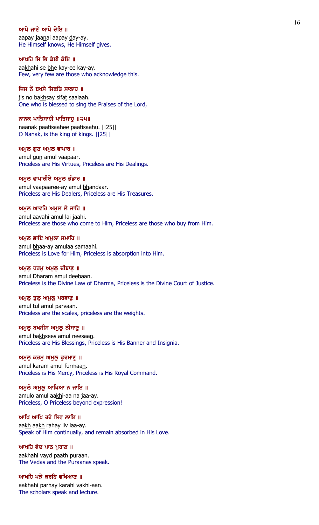### ਆਪੇ ਜਾਣੈ ਆਪੇ ਦੇਇ ॥

aapay jaanai aapay day-ay. He Himself knows, He Himself gives.

#### ਆਖਹਿ ਸਿ ਭਿ ਕੇਈ ਕੇਇ ॥

aakhahi se bhe kay-ee kay-ay. Few, very few are those who acknowledge this.

## ਜਿਸ ਨੋ ਬਖਸੇ ਸਿਫਤਿ ਸਾਲਾਹ ॥

jis no bakhsay sifat saalaah. One who is blessed to sing the Praises of the Lord,

#### ਨਾਨਕ ਪਾਤਿਸਾਹੀ ਪਾਤਿਸਾਹ ॥੨੫॥

naanak paatisaahee paatisaahu. ||25|| O Nanak, is the king of kings. ||25||

#### $m$ ਮੂਲ ਗੁਣ ਅਮੂਲ ਵਾਪਾਰ ॥

amul gun amul vaapaar. Priceless are His Virtues, Priceless are His Dealings.

#### ਅਮੁਲ ਵਾਪਾਰੀਏ ਅਮੁਲ ਭੰਡਾਰ ॥

amul vaapaaree-ay amul bhandaar. Priceless are His Dealers, Priceless are His Treasures.

#### ਅਮਲ ਆਵਹਿ ਅਮਲ ਲੈ ਜਾਹਿ ॥

amul aavahi amul lai jaahi. Priceless are those who come to Him, Priceless are those who buy from Him.

#### ਅਮੁਲ ਭਾਇ ਅਮੁਲਾ ਸਮਾਹਿ ॥

amul bhaa-ay amulaa samaahi. Priceless is Love for Him, Priceless is absorption into Him.

# ਅਮੁਲੁ ਧਰਮੁ ਅਮੁਲੁ ਦੀਬਾਣੁ ॥

amul Dharam amul deebaan. Priceless is the Divine Law of Dharma, Priceless is the Divine Court of Justice.

#### ਅਮੁਲੁ ਤੁਲੁ ਅਮੁਲੁ ਪਰਵਾਣੁ ॥

amul tul amul parvaan. Priceless are the scales, priceless are the weights.

## ਅਮੁਲੂ ਬਖਸੀਸ ਅਮੁਲੂ ਨੀਸਾਣੂ ॥

amul bakhsees amul neesaan. Priceless are His Blessings, Priceless is His Banner and Insignia.

#### ਅਮੁਲੁ ਕਰਮੁ ਅਮੁਲੁ ਫੁਰਮਾਣੁ ॥

amul karam amul furmaan. Priceless is His Mercy, Priceless is His Royal Command.

## ਅਮੁਲੋ ਅਮੁਲੁ ਆਖਿਆ ਨ ਜਾਇ ॥

amulo amul aakhi-aa na jaa-ay. Priceless, O Priceless beyond expression!

## ਆਖਿ ਆਖਿ ਰਹੇ ਲਿਵ ਲਾਇ ॥

aakh aakh rahay liv laa-ay. Speak of Him continually, and remain absorbed in His Love.

# ਆਖਹਿ ਵੇਦ ਪਾਠ ਪੁਰਾਣ ॥

aakhahi vayd paath puraan. The Vedas and the Puraanas speak.

## ਆਖਹਿ ਪੜੇ ਕਰਹਿ ਵਖਿਆਣ ॥

aakhahi parhay karahi vakhi-aan. The scholars speak and lecture.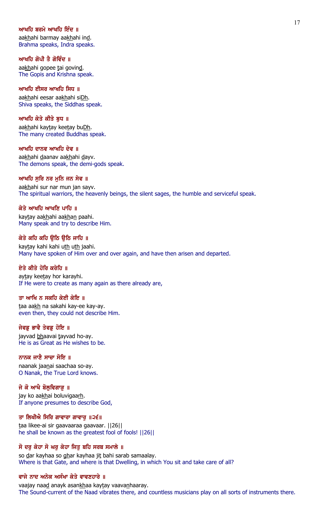## ਆਖਹਿ ਬਰਮੇ ਆਖਹਿ ਇੰਦ ॥

aakhahi barmay aakhahi ind. Brahma speaks, Indra speaks.

ਆਖਹਿ ਗੋਪੀ ਤੈ ਗੋਵਿੰਦ ॥ aakhahi gopee tai govind. The Gopis and Krishna speak.

# ਆਖਹਿ ਈਸਰ ਆਖਹਿ ਸਿਧ ॥

aakhahi eesar aakhahi siDh. Shiva speaks, the Siddhas speak.

## ਆਖਹਿ ਕੇਤੇ ਕੀਤੇ ਬਧ ॥

aakhahi kaytay keetay buDh. The many created Buddhas speak.

#### ਆਖਹਿ ਦਾਨਵ ਆਖਹਿ ਦੇਵ ॥

aakhahi daanav aakhahi dayv. The demons speak, the demi-gods speak.

### ਆਖਹਿ ਸੂਰਿ ਨਰ ਮੂਨਿ ਜਨ ਸੇਵ ॥

aakhahi sur nar mun jan sayv. The spiritual warriors, the heavenly beings, the silent sages, the humble and serviceful speak.

### ਕੇਤੇ ਆਖਹਿ ਆਖਣਿ ਪਾਹਿ ॥

kaytay aakhahi aakhan paahi. Many speak and try to describe Him.

### ਕੇਤੇ ਕਹਿ ਕਹਿ ੳਠਿ ੳਠਿ ਜਾਹਿ ॥

kaytay kahi kahi uth uth jaahi. Many have spoken of Him over and over again, and have then arisen and departed.

### ਏਤੇ ਕੀਤੇ ਹੋਰਿ ਕਰੇਹਿ ॥

aytay keetay hor karayhi. If He were to create as many again as there already are,

### ਤਾ ਆਖਿ ਨ ਸਕਹਿ ਕੇਈ ਕੇਇ ॥

taa aakh na sakahi kay-ee kay-ay. even then, they could not describe Him.

## ਜੇਵਡੂ ਭਾਵੈ ਤੇਵਡੂ ਹੋਇ ॥

jayvad bhaavai tayvad ho-ay. He is as Great as He wishes to be.

### ਨਾਨਕ ਜਾਣੈ ਸਾਚਾ ਸੋਇ ॥

naanak jaanai saachaa so-ay. O Nanak, the True Lord knows.

### ਜੇ ਕੋ ਆਖੈ ਬੋਲੂਵਿਗਾੜੂ ॥

jay ko aakhai boluvigaarh. If anyone presumes to describe God,

### ਤਾ ਲਿਖੀਐ ਸਿਰਿ ਗਾਵਾਰਾ ਗਾਵਾਰੁ ॥੨੬॥

taa likee-ai sir gaavaaraa gaavaar. ||26|| he shall be known as the greatest fool of fools! ||26||

### ਸੋ ਦਰ ਕੇਹਾ ਸੋ ਘਰ ਕੇਹਾ ਜਿਤ ਬਹਿ ਸਰਬ ਸਮਾਲੇ ॥

so dar kayhaa so ghar kayhaa jit bahi sarab samaalay. Where is that Gate, and where is that Dwelling, in which You sit and take care of all?

## ਵਾਜੇ ਨਾਦ ਅਨੇਕ ਅਸੰਖਾ ਕੇਤੇ ਵਾਵਣਹਾਰੇ ॥

vaajay naad anayk asankhaa kaytay vaavanhaaray. The Sound-current of the Naad vibrates there, and countless musicians play on all sorts of instruments there.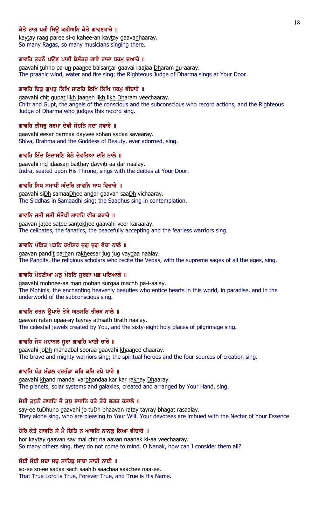## ਕੇਤੇ ਰਾਗ ਪਰੀ ਸਿੳ ਕਹੀਅਨਿ ਕੇਤੇ ਗਾਵਣਹਾਰੇ ॥

kaytay raag paree si-o kahee-an kaytay gaavan haaray. So many Ragas, so many musicians singing there.

#### ਗਾਵਹਿ ਤੁਹਨੋ ਪਉਣੂ ਪਾਣੀ ਬੈਸੰਤਰੂ ਗਾਵੈ ਰਾਜਾ ਧਰਮੂ ਦੁਆਰੇ ॥

gaavahi tuhno pa-un paanee baisantar gaavai raajaa Dharam du-aaray. The praanic wind, water and fire sing; the Righteous Judge of Dharma sings at Your Door.

## ਗਾਵਹਿ ਚਿਤੁ ਗੁਪਤੁ ਲਿਖਿ ਜਾਣਹਿ ਲਿਖਿ ਲਿਖਿ ਧਰਮੁ ਵੀਚਾਰੇ ॥

gaavahi chit gupat likh jaaneh likh likh Dharam veechaaray. Chitr and Gupt, the angels of the conscious and the subconscious who record actions, and the Righteous Judge of Dharma who judges this record sing.

#### ਗਾਵਹਿ ਈਸਰੂ ਬਰਮਾ ਦੇਵੀ ਸੋਹਨਿ ਸਦਾ ਸਵਾਰੇ ॥

gaavahi eesar barmaa dayvee sohan sadaa savaaray. Shiva, Brahma and the Goddess of Beauty, ever adorned, sing.

### ਗਾਵਹਿ ਇੰਦ ਇਦਾਸਣਿ ਬੈਠੇ ਦੇਵਤਿਆ ਦਰਿ ਨਾਲੇ ॥

gaavahi ind idaasan baithay dayviti-aa dar naalay. Indra, seated upon His Throne, sings with the deities at Your Door.

#### ਗਾਵਹਿ ਸਿਧ ਸਮਾਧੀ ਅੰਦਰਿ ਗਾਵਨਿ ਸਾਧ ਵਿਚਾਰੇ ॥

gaavahi siDh samaaDhee andar gaavan saaDh vichaaray. The Siddhas in Samaadhi sing; the Saadhus sing in contemplation.

### ਗਾਵਨਿ ਜਤੀ ਸਤੀ ਸੰਤੋਖੀ ਗਾਵਹਿ ਵੀਰ ਕਰਾਰੇ ॥

gaavan jatee satee santokhee gaavahi veer karaaray. The celibates, the fanatics, the peacefully accepting and the fearless warriors sing.

### ਗਾਵਨਿ ਪੰਡਿਤ ਪੜਨਿ ਰਖੀਸਰ ਜੁਗੁ ਜੁਗੁ ਵੇਦਾ ਨਾਲੇ ॥

gaavan pandit parhan rakheesar jug jug vaydaa naalay. The Pandits, the religious scholars who recite the Vedas, with the supreme sages of all the ages, sing.

### ਗਾਵਹਿ ਮੋਹਣੀਆ ਮਨੁ ਮੋਹਨਿ ਸੁਰਗਾ ਮਛ ਪਇਆਲੇ ॥

gaavahi mohnee-aa man mohan surgaa machh pa-i-aalay. The Mohinis, the enchanting heavenly beauties who entice hearts in this world, in paradise, and in the underworld of the subconscious sing.

## ਗਾਵਨਿ ਰਤਨ ਉਪਾਏ ਤੇਰੇ ਅਠਸਠਿ ਤੀਰਥ ਨਾਲੇ ॥

gaavan ratan upaa-ay tayray athsath tirath naalay. The celestial jewels created by You, and the sixty-eight holy places of pilgrimage sing.

### ਗਾਵਹਿ ਜੋਧ ਮਹਾਬਲ ਸੁਰਾ ਗਾਵਹਿ ਖਾਣੀ ਚਾਰੇ ॥

gaavahi joDh mahaabal sooraa gaavahi khaanee chaaray. The brave and mighty warriors sing; the spiritual heroes and the four sources of creation sing.

#### ਗਾਵਹਿ ਖੰਡ ਮੰਡਲ ਵਰਭੰਡਾ ਕਰਿ ਕਰਿ ਰਖੇ ਧਾਰੇ ॥

gaavahi khand mandal varbhandaa kar kar rakhay Dhaaray. The planets, solar systems and galaxies, created and arranged by Your Hand, sing.

#### ਸੇਈ ਤੁਧੁਨੋ ਗਾਵਹਿ ਜੋ ਤੁਧੁ ਭਾਵਨਿ ਰਤੇ ਤੇਰੇ ਭਗਤ ਰਸਾਲੇ ॥

say-ee tuDhuno gaavahi jo tuDh bhaavan ratay tayray bhagat rasaalay. They alone sing, who are pleasing to Your Will. Your devotees are imbued with the Nectar of Your Essence.

#### ਹੋਰਿ ਕੇਤੇ ਗਾਵਨਿ ਸੇ ਮੈ ਚਿਤਿ ਨ ਆਵਨਿ ਨਾਨਕੂ ਕਿਆ ਵੀਚਾਰੇ ॥

hor kaytay gaavan say mai chit na aavan naanak ki-aa veechaaray. So many others sing, they do not come to mind. O Nanak, how can I consider them all?

#### ਸੋਈ ਸੋਈ ਸਦਾ ਸਚੁ ਸਾਹਿਬੂ ਸਾਚਾ ਸਾਚੀ ਨਾਈ ॥

so-ee so-ee sadaa sach saahib saachaa saachee naa-ee. That True Lord is True, Forever True, and True is His Name.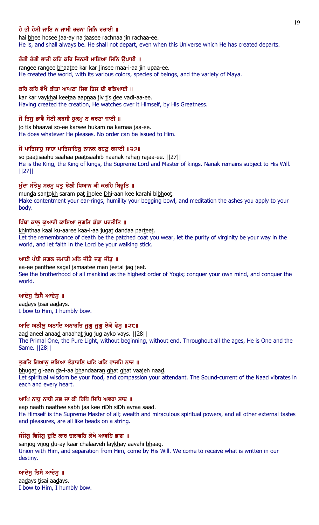## ਹੈ ਭੀ ਹੋਸੀ ਜਾਇ ਨ ਜਾਸੀ ਰਚਨਾ ਜਿਨਿ ਰਚਾਈ ॥

hai bhee hosee jaa-ay na jaasee rachnaa jin rachaa-ee. He is, and shall always be. He shall not depart, even when this Universe which He has created departs.

## ਰੰਗੀ ਰੰਗੀ ਭਾਤੀ ਕਰਿ ਕਰਿ ਜਿਨਸੀ ਮਾਇਆ ਜਿਨਿ ੳਪਾਈ ॥

rangee rangee bhaatee kar kar jinsee maa-i-aa jin upaa-ee. He created the world, with its various colors, species of beings, and the variety of Maya.

## ਕਰਿ ਕਰਿ ਵੇਖੈ ਕੀਤਾ ਆਪਣਾ ਜਿਵ ਤਿਸ ਦੀ ਵਡਿਆਈ ॥

kar kar vaykhai keetaa aapnaa jiv tis dee vadi-aa-ee. Having created the creation, He watches over it Himself, by His Greatness.

## ਜੋ ਤਿਸ ਭਾਵੈ ਸੋਈ ਕਰਸੀ ਹਕਮ ਨ ਕਰਣਾ ਜਾਈ ॥

jo tis bhaavai so-ee karsee hukam na karnaa jaa-ee. He does whatever He pleases. No order can be issued to Him.

## ਸੋ ਪਾਤਿਸਾਹ ਸਾਹਾ ਪਾਤਿਸਾਹਿਬ ਨਾਨਕ ਰਹਣ ਰਜਾਈ ॥੨੭॥

so paatisaahu saahaa paatisaahib naanak rahan rajaa-ee. ||27|| He is the King, the King of kings, the Supreme Lord and Master of kings. Nanak remains subject to His Will. ||27||

## ਮੰਦਾ ਸੰਤੋਖ ਸਰਮ ਪਤ ਝੋਲੀ ਧਿਆਨ ਕੀ ਕਰਹਿ ਬਿਭਤਿ ॥

munda santokh saram pat jholee Dhi-aan kee karahi bibhoot. Make contentment your ear-rings, humility your begging bowl, and meditation the ashes you apply to your body.

## ਖਿੰਥਾ ਕਾਲ ਕਆਰੀ ਕਾਇਆ ਜਗਤਿ ਡੰਡਾ ਪਰਤੀਤਿ ॥

khinthaa kaal ku-aaree kaa-i-aa jugat dandaa parteet. Let the remembrance of death be the patched coat you wear, let the purity of virginity be your way in the world, and let faith in the Lord be your walking stick.

## ਆਈ ਪੰਥੀ ਸਗਲ ਜਮਾਤੀ ਮਨਿ ਜੀਤੈ ਜਗ਼ ਜੀਤੁ ॥

aa-ee panthee sagal jamaatee man jeetai jag jeet. See the brotherhood of all mankind as the highest order of Yogis; conquer your own mind, and conquer the world.

## ਆਦੇਸੂ ਤਿਸੈ ਆਦੇਸੂ ॥

aadays tisai aadays. I bow to Him, I humbly bow.

# ਆਦਿ ਅਨੀਲ ਅਨਾਦਿ ਅਨਾਹਤਿ ਜਗ ਜਗ ਏਕੋ ਵੇਸ ॥੨੮॥

aad aneel anaad anaahat jug jug ayko vays. ||28|| The Primal One, the Pure Light, without beginning, without end. Throughout all the ages, He is One and the Same. ||28||

## ਭਗਤਿ ਗਿਆਨ ਦਇਆ ਭੰਡਾਰਣਿ ਘਟਿ ਘਟਿ ਵਾਜਹਿ ਨਾਦ ॥

bhugat gi-aan da-i-aa bhandaaran ghat ghat vaajeh naad. Let spiritual wisdom be your food, and compassion your attendant. The Sound-current of the Naad vibrates in each and every heart.

## ਆਪਿ ਨਾਥ ਨਾਥੀ ਸਭ ਜਾ ਕੀ ਰਿਧਿ ਸਿਧਿ ਅਵਰਾ ਸਾਦ ॥

aap naath naathee sabh jaa kee riDh siDh avraa saad. He Himself is the Supreme Master of all; wealth and miraculous spiritual powers, and all other external tastes and pleasures, are all like beads on a string.

## ਸੰਜੋਗ ਵਿਜੋਗ ਦਇ ਕਾਰ ਚਲਾਵਹਿ ਲੇਖੇ ਆਵਹਿ ਭਾਗ ॥

sanjog vijog du-ay kaar chalaaveh laykhay aavahi bhaag. Union with Him, and separation from Him, come by His Will. We come to receive what is written in our destiny.

## ਆਦੇਸ ਤਿਸੈ ਆਦੇਸ ॥

aadays tisai aadays. I bow to Him, I humbly bow.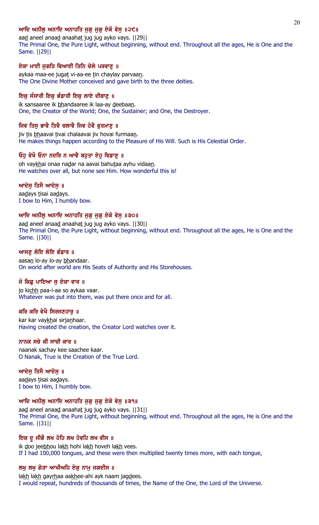## ਆਦਿ ਅਨੀਲ ਅਨਾਦਿ ਅਨਾਹਤਿ ਜਗ ਜਗ ਏਕੋ ਵੇਸ ॥੨੯॥

aad aneel anaad anaahat jug jug ayko vays. [[29]] The Primal One, the Pure Light, without beginning, without end. Throughout all the ages, He is One and the Same. ||29||

### ਏਕਾ ਮਾਈ ਜਗਤਿ ਵਿਆਈ ਤਿਨਿ ਚੇਲੇ ਪਰਵਾਣ ॥

aykaa maa-ee jugat vi-aa-ee tin chaylay parvaan. The One Divine Mother conceived and gave birth to the three deities.

### ਇਕ ਸੰਸਾਰੀ ਇਕ ਭੰਡਾਰੀ ਇਕ ਲਾਏ ਦੀਬਾਣੂ ॥

ik sansaaree ik bhandaaree ik laa-ay deebaan. One, the Creator of the World; One, the Sustainer; and One, the Destroyer.

## ਜਿਵ ਤਿਸੁ ਭਾਵੈ ਤਿਵੈ ਚਲਾਵੈ ਜਿਵ ਹੋਵੈ ਫੁਰਮਾਣੁ ॥

jiv tis bhaavai tivai chalaavai jiv hovai furmaan. He makes things happen according to the Pleasure of His Will. Such is His Celestial Order.

### ਓਹ ਵੇਖੈ ਓਨਾ ਨਦਰਿ ਨ ਆਵੈ ਬਹਤਾ ਏਹ ਵਿਡਾਣ ॥

oh vaykhai onaa nadar na aavai bahutaa ayhu vidaan. He watches over all, but none see Him. How wonderful this is!

### ਆਦੇਸ ਤਿਸੈ ਆਦੇਸ ॥

aadays tisai aadays. I bow to Him, I humbly bow.

## ਆਦਿ ਅਨੀਲ ਅਨਾਦਿ ਅਨਾਹਤਿ ਜਗ ਜਗ ਏਕੋ ਵੇਸ ॥੩੦॥

aad aneel anaad anaahat jug jug ayko vays. [[30]] The Primal One, the Pure Light, without beginning, without end. Throughout all the ages, He is One and the Same. ||30||

### ਆਸਣ ਲੋਇ ਲੋਇ ਭੰਡਾਰ ॥

aasan lo-ay lo-ay bhandaar. On world after world are His Seats of Authority and His Storehouses.

#### ਜੋ ਕਿਛ ਪਾਇਆ ਸ ਏਕਾ ਵਾਰ ॥

jo kichh paa-i-aa so aykaa vaar. Whatever was put into them, was put there once and for all.

### ਕਰਿ ਕਰਿ ਵੇਖੈ ਸਿਰਜਣਹਾਰੁ ॥

kar kar vaykhai sirjanhaar. Having created the creation, the Creator Lord watches over it.

## ਨਾਨਕ ਸਚੇ ਕੀ ਸਾਚੀ ਕਾਰ ॥

naanak sachay kee saachee kaar. O Nanak, True is the Creation of the True Lord.

### ਆਦੇਸ ਤਿਸੈ ਆਦੇਸ ॥

aadays tisai aadays. I bow to Him, I humbly bow.

### ਆਦਿ ਅਨੀਲੁ ਅਨਾਦਿ ਅਨਾਹਤਿ ਜੁਗੁ ਜੁਗੁ ਏਕੋ ਵੇਸੁ ॥੩੧॥

aad aneel anaad anaahat jug jug ayko vays. [[31]] The Primal One, the Pure Light, without beginning, without end. Throughout all the ages, He is One and the Same. ||31||

### ਇਕ ਦੂ ਜੀਭੌ ਲਖ ਹੋਹਿ ਲਖ ਹੋਵਹਿ ਲਖ ਵੀਸ ॥

ik doo jeebhou lakh hohi lakh hoveh lakh vees. If I had 100,000 tongues, and these were then multiplied twenty times more, with each tongue,

#### ਲਖੁ ਲਖੁ ਗੇੜਾ ਆਖੀਅਹਿ ਏਕੁ ਨਾਮੁ ਜਗਦੀਸ ॥

lakh lakh gayrhaa aakhee-ahi ayk naam jagdees. I would repeat, hundreds of thousands of times, the Name of the One, the Lord of the Universe.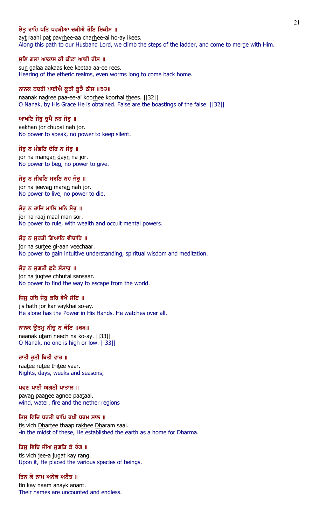## ਏਤ ਰਾਹਿ ਪਤਿ ਪਵੜੀਆ ਚੜੀਐ ਹੋਇ ਇਕੀਸ ॥

ayt raahi pat pavrhee-aa charhee-ai ho-ay ikees. Along this path to our Husband Lord, we climb the steps of the ladder, and come to merge with Him.

#### ਸੁਣਿ ਗਲਾ ਆਕਾਸ ਕੀ ਕੀਟਾ ਆਈ ਰੀਸ ॥

sun galaa aakaas kee keetaa aa-ee rees. Hearing of the etheric realms, even worms long to come back home.

### ਨਾਨਕ ਨਦਰੀ ਪਾਈਐ ਕੁੜੀ ਕੁੜੈ ਠੀਸ ॥੩੨॥

naanak nadree paa-ee-ai koorhee koorhai thees. ||32|| O Nanak, by His Grace He is obtained. False are the boastings of the false. ||32||

### ਆਖਣਿ ਜੋਰ ਚਪੈ ਨਹ ਜੋਰ ॥

aakhan jor chupai nah jor. No power to speak, no power to keep silent.

#### ਜੋਰ ਨ ਮੰਗਣਿ ਦੇਣਿ ਨ ਜੋਰ ॥

jor na mangan dayn na jor. No power to beg, no power to give.

### ਜੋਰੂ ਨ ਜੀਵਣਿ ਮਰਣਿ ਨਹ ਜੋਰੂ ॥

jor na jeevan maran nah jor. No power to live, no power to die.

### ਜੋਰ ਨ ਰਾਜਿ ਮਾਲਿ ਮਨਿ ਸੋਰ ॥

jor na raaj maal man sor. No power to rule, with wealth and occult mental powers.

#### ਜੋਰ ਨ ਸਰਤੀ ਗਿਆਨਿ ਵੀਚਾਰਿ ॥

jor na surtee gi-aan veechaar. No power to gain intuitive understanding, spiritual wisdom and meditation.

### ਜੋਰੂ ਨ ਜੁਗਤੀ ਛੁਟੈ ਸੰਸਾਰੂ ॥

jor na jugtee chhutai sansaar. No power to find the way to escape from the world.

## ਜਿਸ ਹਥਿ ਜੋਰ ਕਰਿ ਵੇਖੈ ਸੋਇ ॥

jis hath jor kar vaykhai so-ay. He alone has the Power in His Hands. He watches over all.

### ਨਾਨਕ ਉਤਮੂ ਨੀਚੂ ਨ ਕੋਇ ॥੩੩॥

naanak utam neech na ko-ay. ||33|| O Nanak, no one is high or low. ||33||

### ਰਾਤੀ ਰਤੀ ਥਿਤੀ ਵਾਰ ॥

raatee rutee thitee vaar. Nights, days, weeks and seasons;

### ਪਵਣ ਪਾਣੀ ਅਗਨੀ ਪਾਤਾਲ ॥

pavan paanee agnee paataal. wind, water, fire and the nether regions

#### ਤਿਸੁ ਵਿਚਿ ਧਰਤੀ ਥਾਪਿ ਰਖੀ ਧਰਮ ਸਾਲ ॥

tis vich Dhartee thaap rakhee Dharam saal. -in the midst of these, He established the earth as a home for Dharma.

## ਤਿਸੁ ਵਿਚਿ ਜੀਅ ਜੁਗਤਿ ਕੇ ਰੰਗ ॥

tis vich jee-a jugat kay rang. Upon it, He placed the various species of beings.

## ਤਿਨ ਕੇ ਨਾਮ ਅਨੇਕ ਅਨੰਤ ॥

tin kay naam anayk anant. Their names are uncounted and endless.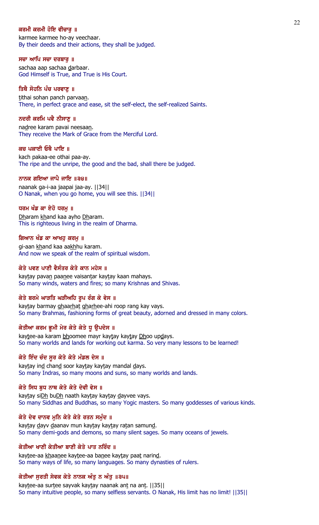### ਕਰਮੀ ਕਰਮੀ ਹੋਇ ਵੀਚਾਰ ॥

karmee karmee ho-ay veechaar. By their deeds and their actions, they shall be judged.

ਸਚਾ ਆਪਿ ਸਚਾ ਦਰਬਾਰੂ ॥

sachaa aap sachaa darbaar. God Himself is True, and True is His Court.

### ਤਿਥੈ ਸੋਹਨਿ ਪੰਚ ਪਰਵਾਣੂ ॥

tithai sohan panch parvaan. There, in perfect grace and ease, sit the self-elect, the self-realized Saints.

#### ਨਦਰੀ ਕਰਮਿ ਪਵੈ ਨੀਸਾਣ ॥

nadree karam pavai neesaan. They receive the Mark of Grace from the Merciful Lord.

#### ਕਚ ਪਕਾਈ ਓਥੈ ਪਾਇ ॥

kach pakaa-ee othai paa-ay. The ripe and the unripe, the good and the bad, shall there be judged.

### ਨਾਨਕ ਗਇਆ ਜਾਪੈ ਜਾਇ ॥੩੪॥

naanak ga-i-aa jaapai jaa-ay. ||34|| O Nanak, when you go home, you will see this. ||34||

### ਧਰਮ ਖੰਡ ਕਾ ਏਹੋ ਧਰਮ ॥

Dharam khand kaa ayho Dharam. This is righteous living in the realm of Dharma.

#### ਗਿਆਨ ਖੰਡ ਕਾ ਆਖਹ ਕਰਮ ॥

gi-aan khand kaa aakhhu karam. And now we speak of the realm of spiritual wisdom.

### ਕੇਤੇ ਪਵਣ ਪਾਣੀ ਵੈਸੰਤਰ ਕੇਤੇ ਕਾਨ ਮਹੇਸ ॥

kaytay pavan paanee vaisantar kaytay kaan mahays. So many winds, waters and fires; so many Krishnas and Shivas.

## ਕੇਤੇ ਬਰਮੇ ਘਾੜਤਿ ਘੜੀਅਹਿ ਰੂਪ ਰੰਗ ਕੇ ਵੇਸ ॥

kaytay barmay ghaarhat gharhee-ahi roop rang kay vays. So many Brahmas, fashioning forms of great beauty, adorned and dressed in many colors.

## ਕੇਤੀਆ ਕਰਮ ਭੂਮੀ ਮੇਰ ਕੇਤੇ ਕੇਤੇ ਧੁ ਉਪਦੇਸ ॥

kaytee-aa karam bhoomee mayr kaytay kaytay Dhoo updays. So many worlds and lands for working out karma. So very many lessons to be learned!

#### ਕੇਤੇ ਇੰਦ ਚੰਦ ਸੁਰ ਕੇਤੇ ਕੇਤੇ ਮੰਡਲ ਦੇਸ ॥

kaytay ind chand soor kaytay kaytay mandal days. So many Indras, so many moons and suns, so many worlds and lands.

#### ਕੇਤੇ ਸਿਧ ਬੁਧ ਨਾਥ ਕੇਤੇ ਕੇਤੇ ਦੇਵੀ ਵੇਸ ॥

kaytay siDh buDh naath kaytay kaytay dayvee vays. So many Siddhas and Buddhas, so many Yogic masters. So many goddesses of various kinds.

### ਕੇਤੇ ਦੇਵ ਦਾਨਵ ਮੁਨਿ ਕੇਤੇ ਕੇਤੇ ਰਤਨ ਸਮੁੰਦ ॥

kaytay dayv daanav mun kaytay kaytay ratan samund. So many demi-gods and demons, so many silent sages. So many oceans of jewels.

### ਕੇਤੀਆ ਖਾਣੀ ਕੇਤੀਆ ਬਾਣੀ ਕੇਤੇ ਪਾਤ ਨਰਿੰਦ ॥

kaytee-aa khaanee kaytee-aa banee kaytay paat narind. So many ways of life, so many languages. So many dynasties of rulers.

# ਕੇਤੀਆ ਸੂਰਤੀ ਸੇਵਕ ਕੇਤੇ ਨਾਨਕ ਅੰਤੂ ਨ ਅੰਤੂ ॥੩੫॥

kaytee-aa surtee sayvak kaytay naanak ant na ant. | | 35 | | So many intuitive people, so many selfless servants. O Nanak, His limit has no limit! ||35||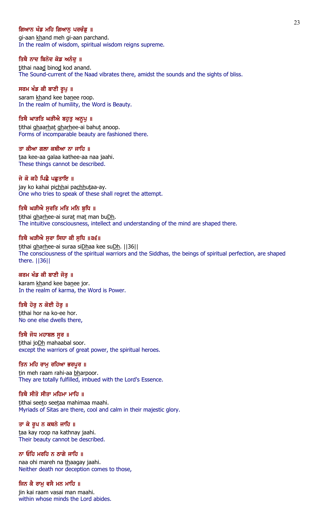## ਗਿਆਨ ਖੰਡ ਮਹਿ ਗਿਆਨ ਪਰਚੰਡ ॥

gi-aan khand meh gi-aan parchand. In the realm of wisdom, spiritual wisdom reigns supreme.

### ਤਿਥੈ ਨਾਦ ਬਿਨੋਦ ਕੋਡ ਅਨੰਦੂ ॥

tithai naad binod kod anand. The Sound-current of the Naad vibrates there, amidst the sounds and the sights of bliss.

### ਸਰਮ ਖੰਡ ਕੀ ਬਾਣੀ ਰੁਪੁ ॥

saram khand kee banee roop. In the realm of humility, the Word is Beauty.

## ਤਿਥੈ ਘਾੜਤਿ ਘੜੀਐ ਬਹੁਤੁ ਅਨੁਪੁ ॥

tithai ghaarhat gharhee-ai bahut anoop. Forms of incomparable beauty are fashioned there.

### ਤਾ ਕੀਆ ਗਲਾ ਕਥੀਆ ਨਾ ਜਾਹਿ ॥

taa kee-aa galaa kathee-aa naa jaahi. These things cannot be described.

## ਜੇ ਕੋ ਕਹੈ ਪਿਛੈ ਪਛੁਤਾਇ ॥

jay ko kahai pichhai pachhutaa-ay. One who tries to speak of these shall regret the attempt.

## ਤਿਥੈ ਘੜੀਐ ਸਰਤਿ ਮਤਿ ਮਨਿ ਬਧਿ ॥

tithai gharhee-ai surat mat man buDh. The intuitive consciousness, intellect and understanding of the mind are shaped there.

### ਤਿਥੈ ਘੜੀਐ ਸੂਰਾ ਸਿਧਾ ਕੀ ਸੂਧਿ ॥੩੬॥

tithai gharhee-ai suraa siDhaa kee suDh. | [36] The consciousness of the spiritual warriors and the Siddhas, the beings of spiritual perfection, are shaped there. ||36||

## ਕਰਮ ਖੰਡ ਕੀ ਬਾਣੀ ਜੋਰੁ ॥

karam khand kee banee jor. In the realm of karma, the Word is Power.

### ਤਿਥੈ ਹੋਰ ਨ ਕੋਈ ਹੋਰ ॥

tithai hor na ko-ee hor. No one else dwells there,

### ਤਿਥੈ ਜੋਧ ਮਹਾਬਲ ਸੁਰ ॥

tithai joDh mahaabal soor. except the warriors of great power, the spiritual heroes.

### ਤਿਨ ਮਹਿ ਰਾਮੂ ਰਹਿਆ ਭਰਪੂਰ ॥

tin meh raam rahi-aa bharpoor. They are totally fulfilled, imbued with the Lord's Essence.

## ਤਿਥੈ ਸੀਤੋ ਸੀਤਾ ਮਹਿਮਾ ਮਾਹਿ ॥

tithai seeto seetaa mahimaa maahi. Myriads of Sitas are there, cool and calm in their majestic glory.

## ਤਾ ਕੇ ਰੂਪ ਨ ਕਥਨੇ ਜਾਹਿ ॥

taa kay roop na kathnay jaahi. Their beauty cannot be described.

## ਨਾ ਓਹਿ ਮਰਹਿ ਨ ਠਾਗੇ ਜਾਹਿ ॥

naa ohi mareh na thaagay jaahi. Neither death nor deception comes to those,

## ਜਿਨ ਕੈ ਰਾਮੂ ਵਸੈ ਮਨ ਮਾਹਿ ॥

jin kai raam vasai man maahi. within whose minds the Lord abides.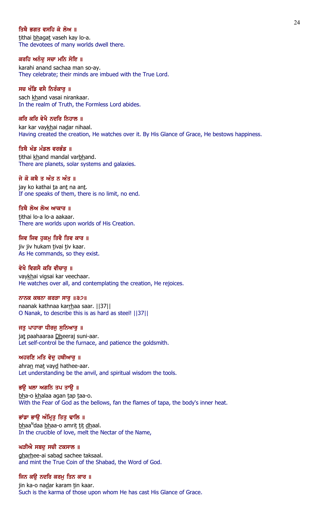## ਤਿਥੈ ਭਗਤ ਵਸਹਿ ਕੇ ਲੋਅ ॥

tithai bhagat vaseh kay lo-a. The devotees of many worlds dwell there.

### ਕਰਹਿ ਅਨੰਦੂ ਸਚਾ ਮਨਿ ਸੋਇ ॥

karahi anand sachaa man so-ay. They celebrate; their minds are imbued with the True Lord.

### ਸਚ ਖੰਡਿ ਵਸੈ ਨਿਰੰਕਾਰੂ ॥

sach khand vasai nirankaar. In the realm of Truth, the Formless Lord abides.

### ਕਰਿ ਕਰਿ ਵੇਖੈ ਨਦਰਿ ਨਿਹਾਲ ॥

kar kar vaykhai nadar nihaal. Having created the creation, He watches over it. By His Glance of Grace, He bestows happiness.

#### ਤਿਥੈ ਖੰਡ ਮੰਡਲ ਵਰਭੰਡ ॥

tithai khand mandal varbhand. There are planets, solar systems and galaxies.

### ਜੇ ਕੋ ਕਥੈ ਤ ਅੰਤ ਨ ਅੰਤ ॥

jay ko kathai ta ant na ant. If one speaks of them, there is no limit, no end.

### ਤਿਥੈ ਲੋਅ ਲੋਅ ਆਕਾਰ ॥

tithai lo-a lo-a aakaar. There are worlds upon worlds of His Creation.

#### ਜਿਵ ਜਿਵ ਹਕਮ ਤਿਵੈ ਤਿਵ ਕਾਰ ॥

jiv jiv hukam tivai tiv kaar. As He commands, so they exist.

### ਵੇਖੈ ਵਿਗਸੈ ਕਰਿ ਵੀਚਾਰ ॥

vaykhai vigsai kar veechaar. He watches over all, and contemplating the creation, He rejoices.

#### ਨਾਨਕ ਕਥਨਾ ਕਰੜਾ ਸਾਰ $\|32\|$

naanak kathnaa karrhaa saar. ||37|| O Nanak, to describe this is as hard as steel! ||37||

## ਜਤੁ ਪਾਹਾਰਾ ਧੀਰਜੁ ਸੁਨਿਆਰੁ ॥

jat paahaaraa Dheeraj suni-aar. Let self-control be the furnace, and patience the goldsmith.

#### ਅਹਰਣਿ ਮਤਿ ਵੇਦੁ ਹਥੀਆਰੁ ॥

ahran mat vayd hathee-aar. Let understanding be the anvil, and spiritual wisdom the tools.

#### ਭਉ ਖਲਾ ਅਗਨਿ ਤਪ ਤਾਉ ॥

bha-o khalaa agan tap taa-o. With the Fear of God as the bellows, fan the flames of tapa, the body's inner heat.

## ਭਾਂਡਾ ਭਾਉ ਅੰਮ੍ਰਿਤੂ ਤਿਤੁ ਢਾਲਿ ॥

<u>bh</u>aa<sup>n</sup>daa <u>bh</u>aa-o amri<u>t tit dh</u>aal. In the crucible of love, melt the Nectar of the Name,

### ਘੜੀਐ ਸਬਦੂ ਸਚੀ ਟਕਸਾਲ ॥

gharhee-ai sabad sachee taksaal. and mint the True Coin of the Shabad, the Word of God.

#### ਜਿਨ ਕਉ ਨਦਰਿ ਕਰਮੂ ਤਿਨ ਕਾਰ ॥

jin ka-o nadar karam tin kaar. Such is the karma of those upon whom He has cast His Glance of Grace.